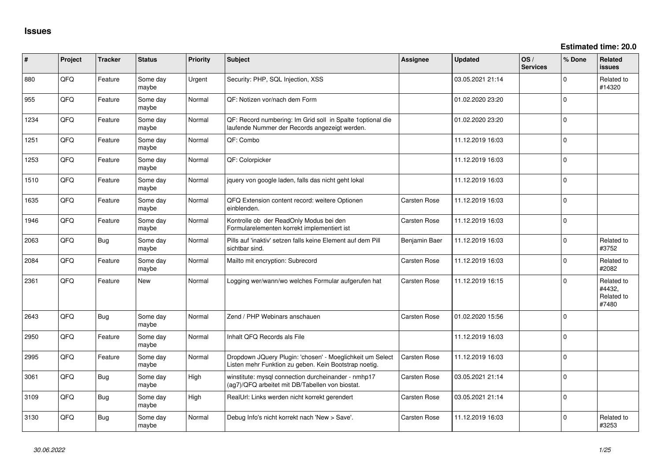**Estimated time: 20.0**

| #    | Project | <b>Tracker</b> | <b>Status</b>     | <b>Priority</b> | <b>Subject</b>                                                                                                     | <b>Assignee</b>     | Updated          | OS/<br><b>Services</b> | % Done   | <b>Related</b><br>issues                    |
|------|---------|----------------|-------------------|-----------------|--------------------------------------------------------------------------------------------------------------------|---------------------|------------------|------------------------|----------|---------------------------------------------|
| 880  | QFQ     | Feature        | Some day<br>maybe | Urgent          | Security: PHP, SQL Injection, XSS                                                                                  |                     | 03.05.2021 21:14 |                        | $\Omega$ | Related to<br>#14320                        |
| 955  | QFQ     | Feature        | Some day<br>maybe | Normal          | QF: Notizen vor/nach dem Form                                                                                      |                     | 01.02.2020 23:20 |                        | $\Omega$ |                                             |
| 1234 | QFQ     | Feature        | Some day<br>maybe | Normal          | QF: Record numbering: Im Grid soll in Spalte 1optional die<br>laufende Nummer der Records angezeigt werden.        |                     | 01.02.2020 23:20 |                        | $\Omega$ |                                             |
| 1251 | QFQ     | Feature        | Some day<br>maybe | Normal          | QF: Combo                                                                                                          |                     | 11.12.2019 16:03 |                        | $\Omega$ |                                             |
| 1253 | QFQ     | Feature        | Some day<br>maybe | Normal          | QF: Colorpicker                                                                                                    |                     | 11.12.2019 16:03 |                        | $\Omega$ |                                             |
| 1510 | QFQ     | Feature        | Some day<br>maybe | Normal          | jquery von google laden, falls das nicht geht lokal                                                                |                     | 11.12.2019 16:03 |                        | $\Omega$ |                                             |
| 1635 | QFQ     | Feature        | Some day<br>maybe | Normal          | QFQ Extension content record: weitere Optionen<br>einblenden.                                                      | <b>Carsten Rose</b> | 11.12.2019 16:03 |                        | $\Omega$ |                                             |
| 1946 | QFQ     | Feature        | Some day<br>maybe | Normal          | Kontrolle ob der ReadOnly Modus bei den<br>Formularelementen korrekt implementiert ist                             | <b>Carsten Rose</b> | 11.12.2019 16:03 |                        | $\Omega$ |                                             |
| 2063 | QFQ     | Bug            | Some day<br>maybe | Normal          | Pills auf 'inaktiv' setzen falls keine Element auf dem Pill<br>sichtbar sind.                                      | Benjamin Baer       | 11.12.2019 16:03 |                        | $\Omega$ | Related to<br>#3752                         |
| 2084 | QFQ     | Feature        | Some day<br>maybe | Normal          | Mailto mit encryption: Subrecord                                                                                   | <b>Carsten Rose</b> | 11.12.2019 16:03 |                        | $\Omega$ | Related to<br>#2082                         |
| 2361 | QFQ     | Feature        | New               | Normal          | Logging wer/wann/wo welches Formular aufgerufen hat                                                                | <b>Carsten Rose</b> | 11.12.2019 16:15 |                        | $\Omega$ | Related to<br>#4432,<br>Related to<br>#7480 |
| 2643 | QFQ     | Bug            | Some day<br>maybe | Normal          | Zend / PHP Webinars anschauen                                                                                      | <b>Carsten Rose</b> | 01.02.2020 15:56 |                        | $\Omega$ |                                             |
| 2950 | QFQ     | Feature        | Some day<br>maybe | Normal          | Inhalt QFQ Records als File                                                                                        |                     | 11.12.2019 16:03 |                        | $\Omega$ |                                             |
| 2995 | QFQ     | Feature        | Some day<br>maybe | Normal          | Dropdown JQuery Plugin: 'chosen' - Moeglichkeit um Select<br>Listen mehr Funktion zu geben. Kein Bootstrap noetig. | <b>Carsten Rose</b> | 11.12.2019 16:03 |                        | $\Omega$ |                                             |
| 3061 | QFQ     | Bug            | Some day<br>maybe | High            | winstitute: mysql connection durcheinander - nmhp17<br>(ag7)/QFQ arbeitet mit DB/Tabellen von biostat.             | <b>Carsten Rose</b> | 03.05.2021 21:14 |                        | $\Omega$ |                                             |
| 3109 | QFQ     | Bug            | Some day<br>maybe | High            | RealUrl: Links werden nicht korrekt gerendert                                                                      | <b>Carsten Rose</b> | 03.05.2021 21:14 |                        | $\Omega$ |                                             |
| 3130 | QFQ     | Bug            | Some day<br>maybe | Normal          | Debug Info's nicht korrekt nach 'New > Save'.                                                                      | <b>Carsten Rose</b> | 11.12.2019 16:03 |                        | $\Omega$ | Related to<br>#3253                         |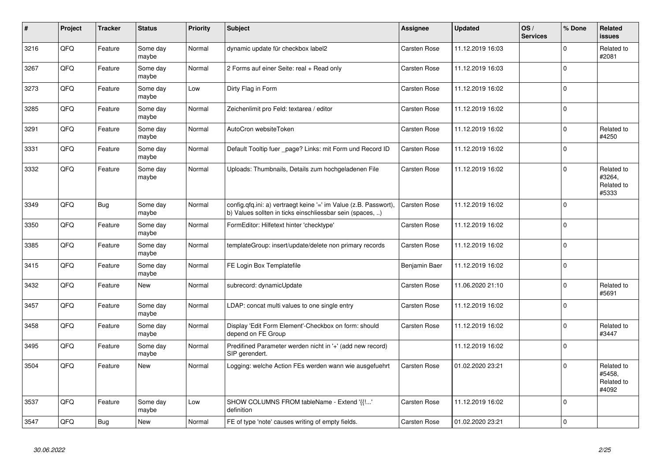| $\vert$ # | Project | <b>Tracker</b> | <b>Status</b>     | <b>Priority</b> | <b>Subject</b>                                                                                                                | Assignee            | <b>Updated</b>   | OS/<br><b>Services</b> | % Done      | Related<br><b>issues</b>                    |
|-----------|---------|----------------|-------------------|-----------------|-------------------------------------------------------------------------------------------------------------------------------|---------------------|------------------|------------------------|-------------|---------------------------------------------|
| 3216      | QFQ     | Feature        | Some day<br>maybe | Normal          | dynamic update für checkbox label2                                                                                            | <b>Carsten Rose</b> | 11.12.2019 16:03 |                        | $\Omega$    | Related to<br>#2081                         |
| 3267      | QFQ     | Feature        | Some day<br>maybe | Normal          | 2 Forms auf einer Seite: real + Read only                                                                                     | Carsten Rose        | 11.12.2019 16:03 |                        | $\Omega$    |                                             |
| 3273      | QFQ     | Feature        | Some day<br>maybe | Low             | Dirty Flag in Form                                                                                                            | Carsten Rose        | 11.12.2019 16:02 |                        | $\Omega$    |                                             |
| 3285      | QFQ     | Feature        | Some day<br>maybe | Normal          | Zeichenlimit pro Feld: textarea / editor                                                                                      | Carsten Rose        | 11.12.2019 16:02 |                        | $\Omega$    |                                             |
| 3291      | QFQ     | Feature        | Some day<br>maybe | Normal          | AutoCron websiteToken                                                                                                         | Carsten Rose        | 11.12.2019 16:02 |                        | $\Omega$    | Related to<br>#4250                         |
| 3331      | QFQ     | Feature        | Some day<br>maybe | Normal          | Default Tooltip fuer _page? Links: mit Form und Record ID                                                                     | Carsten Rose        | 11.12.2019 16:02 |                        | $\Omega$    |                                             |
| 3332      | QFQ     | Feature        | Some day<br>maybe | Normal          | Uploads: Thumbnails, Details zum hochgeladenen File                                                                           | Carsten Rose        | 11.12.2019 16:02 |                        | $\Omega$    | Related to<br>#3264,<br>Related to<br>#5333 |
| 3349      | QFQ     | Bug            | Some day<br>maybe | Normal          | config.qfq.ini: a) vertraegt keine '=' im Value (z.B. Passwort),<br>b) Values sollten in ticks einschliessbar sein (spaces, ) | <b>Carsten Rose</b> | 11.12.2019 16:02 |                        | $\mathbf 0$ |                                             |
| 3350      | QFQ     | Feature        | Some day<br>maybe | Normal          | FormEditor: Hilfetext hinter 'checktype'                                                                                      | <b>Carsten Rose</b> | 11.12.2019 16:02 |                        | $\mathbf 0$ |                                             |
| 3385      | QFQ     | Feature        | Some day<br>maybe | Normal          | templateGroup: insert/update/delete non primary records                                                                       | <b>Carsten Rose</b> | 11.12.2019 16:02 |                        | $\Omega$    |                                             |
| 3415      | QFQ     | Feature        | Some day<br>maybe | Normal          | FE Login Box Templatefile                                                                                                     | Benjamin Baer       | 11.12.2019 16:02 |                        | $\Omega$    |                                             |
| 3432      | QFQ     | Feature        | <b>New</b>        | Normal          | subrecord: dynamicUpdate                                                                                                      | Carsten Rose        | 11.06.2020 21:10 |                        | $\Omega$    | Related to<br>#5691                         |
| 3457      | QFQ     | Feature        | Some day<br>maybe | Normal          | LDAP: concat multi values to one single entry                                                                                 | Carsten Rose        | 11.12.2019 16:02 |                        | $\Omega$    |                                             |
| 3458      | QFQ     | Feature        | Some day<br>maybe | Normal          | Display 'Edit Form Element'-Checkbox on form: should<br>depend on FE Group                                                    | Carsten Rose        | 11.12.2019 16:02 |                        | $\Omega$    | Related to<br>#3447                         |
| 3495      | QFQ     | Feature        | Some day<br>maybe | Normal          | Predifined Parameter werden nicht in '+' (add new record)<br>SIP gerendert.                                                   |                     | 11.12.2019 16:02 |                        | $\Omega$    |                                             |
| 3504      | QFQ     | Feature        | <b>New</b>        | Normal          | Logging: welche Action FEs werden wann wie ausgefuehrt                                                                        | Carsten Rose        | 01.02.2020 23:21 |                        | $\Omega$    | Related to<br>#5458,<br>Related to<br>#4092 |
| 3537      | QFQ     | Feature        | Some day<br>maybe | Low             | SHOW COLUMNS FROM tableName - Extend '{{!'<br>definition                                                                      | <b>Carsten Rose</b> | 11.12.2019 16:02 |                        | $\Omega$    |                                             |
| 3547      | QFQ     | Bug            | New               | Normal          | FE of type 'note' causes writing of empty fields.                                                                             | <b>Carsten Rose</b> | 01.02.2020 23:21 |                        | $\mathbf 0$ |                                             |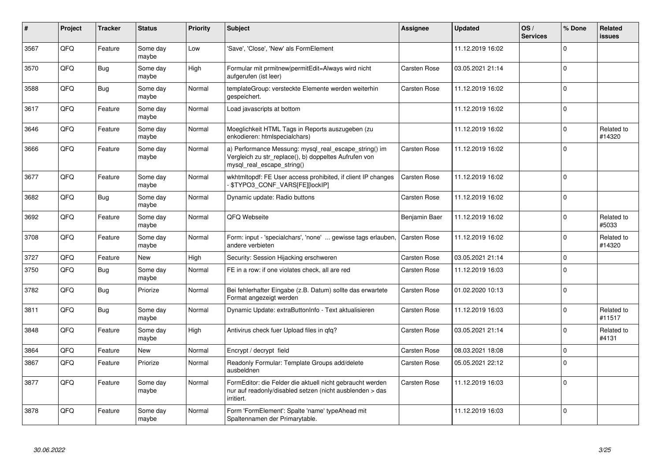| #    | Project | <b>Tracker</b> | <b>Status</b>     | <b>Priority</b> | <b>Subject</b>                                                                                                                               | <b>Assignee</b>     | <b>Updated</b>   | OS/<br><b>Services</b> | % Done   | Related<br><b>issues</b> |
|------|---------|----------------|-------------------|-----------------|----------------------------------------------------------------------------------------------------------------------------------------------|---------------------|------------------|------------------------|----------|--------------------------|
| 3567 | QFQ     | Feature        | Some day<br>maybe | Low             | 'Save', 'Close', 'New' als FormElement                                                                                                       |                     | 11.12.2019 16:02 |                        | $\Omega$ |                          |
| 3570 | QFQ     | Bug            | Some day<br>maybe | High            | Formular mit prmitnew permitEdit=Always wird nicht<br>aufgerufen (ist leer)                                                                  | Carsten Rose        | 03.05.2021 21:14 |                        | $\Omega$ |                          |
| 3588 | QFQ     | Bug            | Some day<br>maybe | Normal          | templateGroup: versteckte Elemente werden weiterhin<br>gespeichert.                                                                          | Carsten Rose        | 11.12.2019 16:02 |                        | $\Omega$ |                          |
| 3617 | QFQ     | Feature        | Some day<br>maybe | Normal          | Load javascripts at bottom                                                                                                                   |                     | 11.12.2019 16:02 |                        | $\Omega$ |                          |
| 3646 | QFQ     | Feature        | Some day<br>maybe | Normal          | Moeglichkeit HTML Tags in Reports auszugeben (zu<br>enkodieren: htmlspecialchars)                                                            |                     | 11.12.2019 16:02 |                        | $\Omega$ | Related to<br>#14320     |
| 3666 | QFQ     | Feature        | Some day<br>maybe | Normal          | a) Performance Messung: mysql_real_escape_string() im<br>Vergleich zu str replace(), b) doppeltes Aufrufen von<br>mysql_real_escape_string() | <b>Carsten Rose</b> | 11.12.2019 16:02 |                        | $\Omega$ |                          |
| 3677 | QFQ     | Feature        | Some day<br>maybe | Normal          | wkhtmltopdf: FE User access prohibited, if client IP changes<br><b>\$TYPO3 CONF VARS[FE][lockIP]</b>                                         | <b>Carsten Rose</b> | 11.12.2019 16:02 |                        | $\Omega$ |                          |
| 3682 | QFQ     | Bug            | Some day<br>maybe | Normal          | Dynamic update: Radio buttons                                                                                                                | Carsten Rose        | 11.12.2019 16:02 |                        | $\Omega$ |                          |
| 3692 | QFQ     | Feature        | Some day<br>maybe | Normal          | QFQ Webseite                                                                                                                                 | Benjamin Baer       | 11.12.2019 16:02 |                        | $\Omega$ | Related to<br>#5033      |
| 3708 | QFQ     | Feature        | Some day<br>maybe | Normal          | Form: input - 'specialchars', 'none'  gewisse tags erlauben,<br>andere verbieten                                                             | Carsten Rose        | 11.12.2019 16:02 |                        | $\Omega$ | Related to<br>#14320     |
| 3727 | QFQ     | Feature        | <b>New</b>        | High            | Security: Session Hijacking erschweren                                                                                                       | Carsten Rose        | 03.05.2021 21:14 |                        | $\Omega$ |                          |
| 3750 | QFQ     | Bug            | Some day<br>maybe | Normal          | FE in a row: if one violates check, all are red                                                                                              | <b>Carsten Rose</b> | 11.12.2019 16:03 |                        | $\Omega$ |                          |
| 3782 | QFQ     | Bug            | Priorize          | Normal          | Bei fehlerhafter Eingabe (z.B. Datum) sollte das erwartete<br>Format angezeigt werden                                                        | <b>Carsten Rose</b> | 01.02.2020 10:13 |                        | $\Omega$ |                          |
| 3811 | QFQ     | Bug            | Some day<br>maybe | Normal          | Dynamic Update: extraButtonInfo - Text aktualisieren                                                                                         | <b>Carsten Rose</b> | 11.12.2019 16:03 |                        | $\Omega$ | Related to<br>#11517     |
| 3848 | QFQ     | Feature        | Some day<br>maybe | High            | Antivirus check fuer Upload files in qfq?                                                                                                    | Carsten Rose        | 03.05.2021 21:14 |                        | $\Omega$ | Related to<br>#4131      |
| 3864 | QFQ     | Feature        | <b>New</b>        | Normal          | Encrypt / decrypt field                                                                                                                      | <b>Carsten Rose</b> | 08.03.2021 18:08 |                        | $\Omega$ |                          |
| 3867 | QFQ     | Feature        | Priorize          | Normal          | Readonly Formular: Template Groups add/delete<br>ausbeldnen                                                                                  | Carsten Rose        | 05.05.2021 22:12 |                        | $\Omega$ |                          |
| 3877 | QFQ     | Feature        | Some day<br>maybe | Normal          | FormEditor: die Felder die aktuell nicht gebraucht werden<br>nur auf readonly/disabled setzen (nicht ausblenden > das<br>irritiert.          | <b>Carsten Rose</b> | 11.12.2019 16:03 |                        | $\Omega$ |                          |
| 3878 | QFQ     | Feature        | Some day<br>maybe | Normal          | Form 'FormElement': Spalte 'name' typeAhead mit<br>Spaltennamen der Primarytable.                                                            |                     | 11.12.2019 16:03 |                        | $\Omega$ |                          |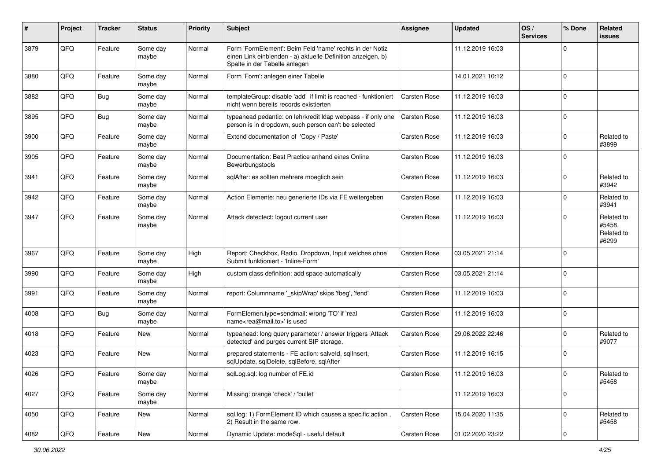| #    | Project | <b>Tracker</b> | <b>Status</b>     | <b>Priority</b> | <b>Subject</b>                                                                                                                                           | <b>Assignee</b>     | <b>Updated</b>   | OS/<br><b>Services</b> | % Done       | Related<br><b>issues</b>                    |
|------|---------|----------------|-------------------|-----------------|----------------------------------------------------------------------------------------------------------------------------------------------------------|---------------------|------------------|------------------------|--------------|---------------------------------------------|
| 3879 | QFQ     | Feature        | Some day<br>maybe | Normal          | Form 'FormElement': Beim Feld 'name' rechts in der Notiz<br>einen Link einblenden - a) aktuelle Definition anzeigen, b)<br>Spalte in der Tabelle anlegen |                     | 11.12.2019 16:03 |                        | $\Omega$     |                                             |
| 3880 | QFQ     | Feature        | Some day<br>maybe | Normal          | Form 'Form': anlegen einer Tabelle                                                                                                                       |                     | 14.01.2021 10:12 |                        | $\Omega$     |                                             |
| 3882 | QFQ     | Bug            | Some day<br>maybe | Normal          | templateGroup: disable 'add' if limit is reached - funktioniert<br>nicht wenn bereits records existierten                                                | Carsten Rose        | 11.12.2019 16:03 |                        | $\Omega$     |                                             |
| 3895 | QFQ     | Bug            | Some day<br>maybe | Normal          | typeahead pedantic: on lehrkredit Idap webpass - if only one<br>person is in dropdown, such person can't be selected                                     | <b>Carsten Rose</b> | 11.12.2019 16:03 |                        | $\Omega$     |                                             |
| 3900 | QFQ     | Feature        | Some day<br>maybe | Normal          | Extend documentation of 'Copy / Paste'                                                                                                                   | <b>Carsten Rose</b> | 11.12.2019 16:03 |                        | $\Omega$     | Related to<br>#3899                         |
| 3905 | QFQ     | Feature        | Some day<br>maybe | Normal          | Documentation: Best Practice anhand eines Online<br>Bewerbungstools                                                                                      | <b>Carsten Rose</b> | 11.12.2019 16:03 |                        | $\Omega$     |                                             |
| 3941 | QFQ     | Feature        | Some day<br>maybe | Normal          | sqlAfter: es sollten mehrere moeglich sein                                                                                                               | <b>Carsten Rose</b> | 11.12.2019 16:03 |                        | $\Omega$     | Related to<br>#3942                         |
| 3942 | QFQ     | Feature        | Some day<br>maybe | Normal          | Action Elemente: neu generierte IDs via FE weitergeben                                                                                                   | <b>Carsten Rose</b> | 11.12.2019 16:03 |                        | <sup>0</sup> | Related to<br>#3941                         |
| 3947 | QFQ     | Feature        | Some day<br>maybe | Normal          | Attack detectect: logout current user                                                                                                                    | <b>Carsten Rose</b> | 11.12.2019 16:03 |                        | $\Omega$     | Related to<br>#5458,<br>Related to<br>#6299 |
| 3967 | QFQ     | Feature        | Some day<br>maybe | High            | Report: Checkbox, Radio, Dropdown, Input welches ohne<br>Submit funktioniert - 'Inline-Form'                                                             | <b>Carsten Rose</b> | 03.05.2021 21:14 |                        | $\Omega$     |                                             |
| 3990 | QFQ     | Feature        | Some day<br>maybe | High            | custom class definition: add space automatically                                                                                                         | <b>Carsten Rose</b> | 03.05.2021 21:14 |                        | $\Omega$     |                                             |
| 3991 | QFQ     | Feature        | Some day<br>maybe | Normal          | report: Columnname '_skipWrap' skips 'fbeg', 'fend'                                                                                                      | <b>Carsten Rose</b> | 11.12.2019 16:03 |                        | $\mathbf 0$  |                                             |
| 4008 | QFQ     | Bug            | Some day<br>maybe | Normal          | FormElemen.type=sendmail: wrong 'TO' if 'real<br>name <rea@mail.to>' is used</rea@mail.to>                                                               | <b>Carsten Rose</b> | 11.12.2019 16:03 |                        | $\mathbf 0$  |                                             |
| 4018 | QFQ     | Feature        | <b>New</b>        | Normal          | typeahead: long query parameter / answer triggers 'Attack<br>detected' and purges current SIP storage.                                                   | Carsten Rose        | 29.06.2022 22:46 |                        | 0            | Related to<br>#9077                         |
| 4023 | QFQ     | Feature        | New               | Normal          | prepared statements - FE action: salveld, sqllnsert,<br>sqlUpdate, sqlDelete, sqlBefore, sqlAfter                                                        | <b>Carsten Rose</b> | 11.12.2019 16:15 |                        | $\Omega$     |                                             |
| 4026 | QFQ     | Feature        | Some day<br>maybe | Normal          | sqlLog.sql: log number of FE.id                                                                                                                          | Carsten Rose        | 11.12.2019 16:03 |                        | $\pmb{0}$    | Related to<br>#5458                         |
| 4027 | QFQ     | Feature        | Some day<br>maybe | Normal          | Missing: orange 'check' / 'bullet'                                                                                                                       |                     | 11.12.2019 16:03 |                        | $\mathbf 0$  |                                             |
| 4050 | QFQ     | Feature        | New               | Normal          | sql.log: 1) FormElement ID which causes a specific action,<br>2) Result in the same row.                                                                 | <b>Carsten Rose</b> | 15.04.2020 11:35 |                        | 0            | Related to<br>#5458                         |
| 4082 | QFQ     | Feature        | New               | Normal          | Dynamic Update: modeSql - useful default                                                                                                                 | Carsten Rose        | 01.02.2020 23:22 |                        | $\mathbf 0$  |                                             |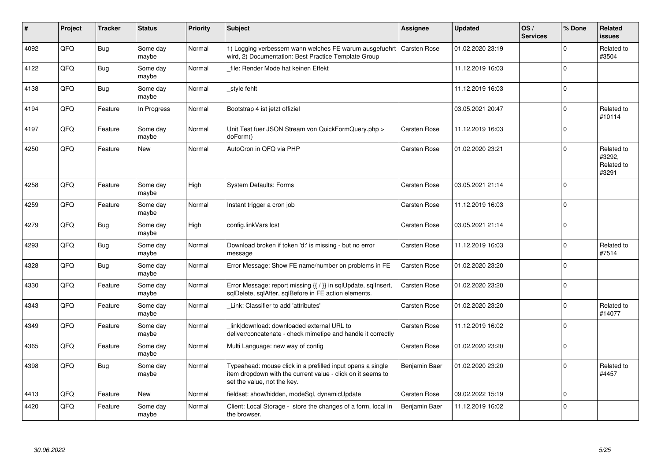| #    | Project | <b>Tracker</b> | <b>Status</b>     | <b>Priority</b> | <b>Subject</b>                                                                                                                                           | <b>Assignee</b>     | <b>Updated</b>   | OS/<br><b>Services</b> | % Done      | Related<br><b>issues</b>                    |
|------|---------|----------------|-------------------|-----------------|----------------------------------------------------------------------------------------------------------------------------------------------------------|---------------------|------------------|------------------------|-------------|---------------------------------------------|
| 4092 | QFQ     | <b>Bug</b>     | Some day<br>maybe | Normal          | 1) Logging verbessern wann welches FE warum ausgefuehrt<br>wird, 2) Documentation: Best Practice Template Group                                          | <b>Carsten Rose</b> | 01.02.2020 23:19 |                        | $\Omega$    | Related to<br>#3504                         |
| 4122 | QFQ     | Bug            | Some day<br>maybe | Normal          | file: Render Mode hat keinen Effekt                                                                                                                      |                     | 11.12.2019 16:03 |                        | $\Omega$    |                                             |
| 4138 | QFQ     | <b>Bug</b>     | Some day<br>maybe | Normal          | style fehlt                                                                                                                                              |                     | 11.12.2019 16:03 |                        | $\Omega$    |                                             |
| 4194 | QFQ     | Feature        | In Progress       | Normal          | Bootstrap 4 ist jetzt offiziel                                                                                                                           |                     | 03.05.2021 20:47 |                        | $\Omega$    | Related to<br>#10114                        |
| 4197 | QFQ     | Feature        | Some day<br>maybe | Normal          | Unit Test fuer JSON Stream von QuickFormQuery.php ><br>doForm()                                                                                          | <b>Carsten Rose</b> | 11.12.2019 16:03 |                        | $\Omega$    |                                             |
| 4250 | QFQ     | Feature        | <b>New</b>        | Normal          | AutoCron in QFQ via PHP                                                                                                                                  | <b>Carsten Rose</b> | 01.02.2020 23:21 |                        | $\Omega$    | Related to<br>#3292.<br>Related to<br>#3291 |
| 4258 | QFQ     | Feature        | Some day<br>maybe | High            | <b>System Defaults: Forms</b>                                                                                                                            | <b>Carsten Rose</b> | 03.05.2021 21:14 |                        | $\Omega$    |                                             |
| 4259 | QFQ     | Feature        | Some day<br>maybe | Normal          | Instant trigger a cron job                                                                                                                               | <b>Carsten Rose</b> | 11.12.2019 16:03 |                        | $\mathbf 0$ |                                             |
| 4279 | QFQ     | Bug            | Some day<br>maybe | High            | config.linkVars lost                                                                                                                                     | <b>Carsten Rose</b> | 03.05.2021 21:14 |                        | $\Omega$    |                                             |
| 4293 | QFQ     | Bug            | Some day<br>maybe | Normal          | Download broken if token 'd:' is missing - but no error<br>message                                                                                       | <b>Carsten Rose</b> | 11.12.2019 16:03 |                        | $\Omega$    | Related to<br>#7514                         |
| 4328 | QFQ     | Bug            | Some day<br>maybe | Normal          | Error Message: Show FE name/number on problems in FE                                                                                                     | <b>Carsten Rose</b> | 01.02.2020 23:20 |                        | $\Omega$    |                                             |
| 4330 | QFQ     | Feature        | Some day<br>maybe | Normal          | Error Message: report missing {{ / }} in sqlUpdate, sqlInsert,<br>sqlDelete, sqlAfter, sqlBefore in FE action elements.                                  | <b>Carsten Rose</b> | 01.02.2020 23:20 |                        | $\Omega$    |                                             |
| 4343 | QFQ     | Feature        | Some day<br>maybe | Normal          | Link: Classifier to add 'attributes'                                                                                                                     | <b>Carsten Rose</b> | 01.02.2020 23:20 |                        | $\Omega$    | Related to<br>#14077                        |
| 4349 | QFQ     | Feature        | Some day<br>maybe | Normal          | link download: downloaded external URL to<br>deliver/concatenate - check mimetipe and handle it correctly                                                | Carsten Rose        | 11.12.2019 16:02 |                        | $\Omega$    |                                             |
| 4365 | QFQ     | Feature        | Some day<br>maybe | Normal          | Multi Language: new way of config                                                                                                                        | Carsten Rose        | 01.02.2020 23:20 |                        | $\Omega$    |                                             |
| 4398 | QFQ     | Bug            | Some day<br>maybe | Normal          | Typeahead: mouse click in a prefilled input opens a single<br>item dropdown with the current value - click on it seems to<br>set the value, not the key. | Benjamin Baer       | 01.02.2020 23:20 |                        | $\Omega$    | Related to<br>#4457                         |
| 4413 | QFQ     | Feature        | <b>New</b>        | Normal          | fieldset: show/hidden, modeSql, dynamicUpdate                                                                                                            | <b>Carsten Rose</b> | 09.02.2022 15:19 |                        | $\Omega$    |                                             |
| 4420 | QFQ     | Feature        | Some day<br>maybe | Normal          | Client: Local Storage - store the changes of a form, local in<br>the browser.                                                                            | Benjamin Baer       | 11.12.2019 16:02 |                        | 0           |                                             |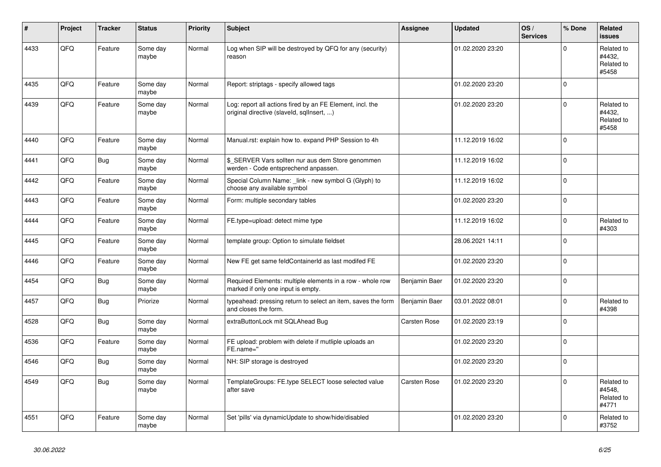| ∦    | Project | <b>Tracker</b> | <b>Status</b>     | <b>Priority</b> | <b>Subject</b>                                                                                         | Assignee            | <b>Updated</b>   | OS/<br><b>Services</b> | % Done      | Related<br><b>issues</b>                    |
|------|---------|----------------|-------------------|-----------------|--------------------------------------------------------------------------------------------------------|---------------------|------------------|------------------------|-------------|---------------------------------------------|
| 4433 | QFQ     | Feature        | Some day<br>maybe | Normal          | Log when SIP will be destroyed by QFQ for any (security)<br>reason                                     |                     | 01.02.2020 23:20 |                        | $\mathbf 0$ | Related to<br>#4432,<br>Related to<br>#5458 |
| 4435 | QFQ     | Feature        | Some day<br>maybe | Normal          | Report: striptags - specify allowed tags                                                               |                     | 01.02.2020 23:20 |                        | $\mathbf 0$ |                                             |
| 4439 | QFQ     | Feature        | Some day<br>maybe | Normal          | Log: report all actions fired by an FE Element, incl. the<br>original directive (slaveld, sqllnsert, ) |                     | 01.02.2020 23:20 |                        | $\mathsf 0$ | Related to<br>#4432.<br>Related to<br>#5458 |
| 4440 | QFQ     | Feature        | Some day<br>maybe | Normal          | Manual.rst: explain how to. expand PHP Session to 4h                                                   |                     | 11.12.2019 16:02 |                        | $\mathbf 0$ |                                             |
| 4441 | QFQ     | <b>Bug</b>     | Some day<br>maybe | Normal          | \$ SERVER Vars sollten nur aus dem Store genommen<br>werden - Code entsprechend anpassen.              |                     | 11.12.2019 16:02 |                        | $\pmb{0}$   |                                             |
| 4442 | QFQ     | Feature        | Some day<br>maybe | Normal          | Special Column Name: _link - new symbol G (Glyph) to<br>choose any available symbol                    |                     | 11.12.2019 16:02 |                        | $\mathbf 0$ |                                             |
| 4443 | QFQ     | Feature        | Some day<br>maybe | Normal          | Form: multiple secondary tables                                                                        |                     | 01.02.2020 23:20 |                        | $\mathbf 0$ |                                             |
| 4444 | QFQ     | Feature        | Some day<br>maybe | Normal          | FE.type=upload: detect mime type                                                                       |                     | 11.12.2019 16:02 |                        | $\mathbf 0$ | Related to<br>#4303                         |
| 4445 | QFQ     | Feature        | Some day<br>maybe | Normal          | template group: Option to simulate fieldset                                                            |                     | 28.06.2021 14:11 |                        | $\mathbf 0$ |                                             |
| 4446 | QFQ     | Feature        | Some day<br>maybe | Normal          | New FE get same feldContainerId as last modifed FE                                                     |                     | 01.02.2020 23:20 |                        | $\mathbf 0$ |                                             |
| 4454 | QFQ     | <b>Bug</b>     | Some day<br>maybe | Normal          | Required Elements: multiple elements in a row - whole row<br>marked if only one input is empty.        | Benjamin Baer       | 01.02.2020 23:20 |                        | $\mathbf 0$ |                                             |
| 4457 | QFQ     | <b>Bug</b>     | Priorize          | Normal          | typeahead: pressing return to select an item, saves the form<br>and closes the form.                   | Benjamin Baer       | 03.01.2022 08:01 |                        | $\Omega$    | Related to<br>#4398                         |
| 4528 | QFQ     | Bug            | Some day<br>maybe | Normal          | extraButtonLock mit SQLAhead Bug                                                                       | <b>Carsten Rose</b> | 01.02.2020 23:19 |                        | $\mathbf 0$ |                                             |
| 4536 | QFQ     | Feature        | Some day<br>maybe | Normal          | FE upload: problem with delete if mutliple uploads an<br>FE.name="                                     |                     | 01.02.2020 23:20 |                        | $\mathsf 0$ |                                             |
| 4546 | QFQ     | Bug            | Some day<br>maybe | Normal          | NH: SIP storage is destroyed                                                                           |                     | 01.02.2020 23:20 |                        | $\Omega$    |                                             |
| 4549 | QFQ     | Bug            | Some day<br>maybe | Normal          | TemplateGroups: FE.type SELECT loose selected value<br>after save                                      | <b>Carsten Rose</b> | 01.02.2020 23:20 |                        | $\mathbf 0$ | Related to<br>#4548,<br>Related to<br>#4771 |
| 4551 | QFQ     | Feature        | Some day<br>maybe | Normal          | Set 'pills' via dynamicUpdate to show/hide/disabled                                                    |                     | 01.02.2020 23:20 |                        | $\mathbf 0$ | Related to<br>#3752                         |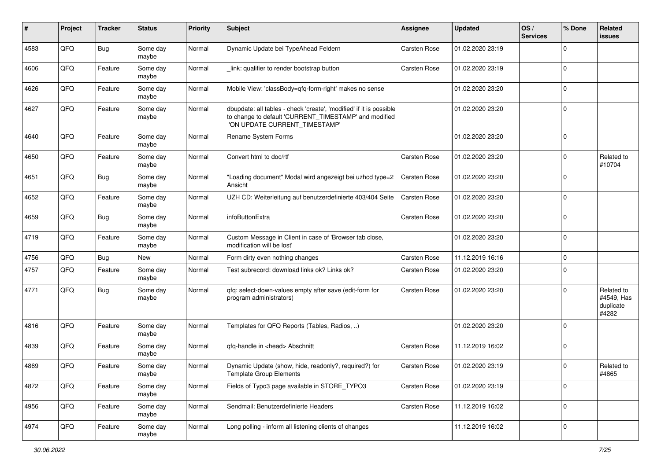| ∦    | Project | <b>Tracker</b> | <b>Status</b>     | <b>Priority</b> | Subject                                                                                                                                                       | <b>Assignee</b>     | <b>Updated</b>   | OS/<br><b>Services</b> | % Done      | Related<br>issues                              |
|------|---------|----------------|-------------------|-----------------|---------------------------------------------------------------------------------------------------------------------------------------------------------------|---------------------|------------------|------------------------|-------------|------------------------------------------------|
| 4583 | QFQ     | Bug            | Some day<br>maybe | Normal          | Dynamic Update bei TypeAhead Feldern                                                                                                                          | <b>Carsten Rose</b> | 01.02.2020 23:19 |                        | $\Omega$    |                                                |
| 4606 | QFQ     | Feature        | Some day<br>maybe | Normal          | link: qualifier to render bootstrap button                                                                                                                    | <b>Carsten Rose</b> | 01.02.2020 23:19 |                        | $\Omega$    |                                                |
| 4626 | QFQ     | Feature        | Some day<br>maybe | Normal          | Mobile View: 'classBody=qfq-form-right' makes no sense                                                                                                        |                     | 01.02.2020 23:20 |                        | $\Omega$    |                                                |
| 4627 | QFQ     | Feature        | Some day<br>maybe | Normal          | dbupdate: all tables - check 'create', 'modified' if it is possible<br>to change to default 'CURRENT_TIMESTAMP' and modified<br>'ON UPDATE CURRENT_TIMESTAMP' |                     | 01.02.2020 23:20 |                        | $\Omega$    |                                                |
| 4640 | QFQ     | Feature        | Some day<br>maybe | Normal          | Rename System Forms                                                                                                                                           |                     | 01.02.2020 23:20 |                        | $\mathbf 0$ |                                                |
| 4650 | QFQ     | Feature        | Some day<br>maybe | Normal          | Convert html to doc/rtf                                                                                                                                       | <b>Carsten Rose</b> | 01.02.2020 23:20 |                        | $\Omega$    | Related to<br>#10704                           |
| 4651 | QFQ     | <b>Bug</b>     | Some day<br>maybe | Normal          | 'Loading document" Modal wird angezeigt bei uzhcd type=2<br>Ansicht                                                                                           | <b>Carsten Rose</b> | 01.02.2020 23:20 |                        | $\Omega$    |                                                |
| 4652 | QFQ     | Feature        | Some day<br>maybe | Normal          | UZH CD: Weiterleitung auf benutzerdefinierte 403/404 Seite                                                                                                    | <b>Carsten Rose</b> | 01.02.2020 23:20 |                        | $\Omega$    |                                                |
| 4659 | QFQ     | Bug            | Some day<br>maybe | Normal          | infoButtonExtra                                                                                                                                               | <b>Carsten Rose</b> | 01.02.2020 23:20 |                        | $\mathbf 0$ |                                                |
| 4719 | QFQ     | Feature        | Some day<br>maybe | Normal          | Custom Message in Client in case of 'Browser tab close,<br>modification will be lost'                                                                         |                     | 01.02.2020 23:20 |                        | $\mathbf 0$ |                                                |
| 4756 | QFQ     | Bug            | <b>New</b>        | Normal          | Form dirty even nothing changes                                                                                                                               | <b>Carsten Rose</b> | 11.12.2019 16:16 |                        | 0           |                                                |
| 4757 | QFQ     | Feature        | Some day<br>maybe | Normal          | Test subrecord: download links ok? Links ok?                                                                                                                  | <b>Carsten Rose</b> | 01.02.2020 23:20 |                        | $\Omega$    |                                                |
| 4771 | QFQ     | Bug            | Some day<br>maybe | Normal          | qfq: select-down-values empty after save (edit-form for<br>program administrators)                                                                            | <b>Carsten Rose</b> | 01.02.2020 23:20 |                        | $\Omega$    | Related to<br>#4549, Has<br>duplicate<br>#4282 |
| 4816 | QFQ     | Feature        | Some day<br>maybe | Normal          | Templates for QFQ Reports (Tables, Radios, )                                                                                                                  |                     | 01.02.2020 23:20 |                        | $\Omega$    |                                                |
| 4839 | QFQ     | Feature        | Some day<br>maybe | Normal          | gfg-handle in <head> Abschnitt</head>                                                                                                                         | Carsten Rose        | 11.12.2019 16:02 |                        | $\Omega$    |                                                |
| 4869 | QFQ     | Feature        | Some day<br>maybe | Normal          | Dynamic Update (show, hide, readonly?, required?) for<br><b>Template Group Elements</b>                                                                       | Carsten Rose        | 01.02.2020 23:19 |                        | $\Omega$    | Related to<br>#4865                            |
| 4872 | QFQ     | Feature        | Some day<br>maybe | Normal          | Fields of Typo3 page available in STORE_TYPO3                                                                                                                 | <b>Carsten Rose</b> | 01.02.2020 23:19 |                        | $\mathbf 0$ |                                                |
| 4956 | QFQ     | Feature        | Some day<br>maybe | Normal          | Sendmail: Benutzerdefinierte Headers                                                                                                                          | Carsten Rose        | 11.12.2019 16:02 |                        | 0           |                                                |
| 4974 | QFQ     | Feature        | Some day<br>maybe | Normal          | Long polling - inform all listening clients of changes                                                                                                        |                     | 11.12.2019 16:02 |                        | 0           |                                                |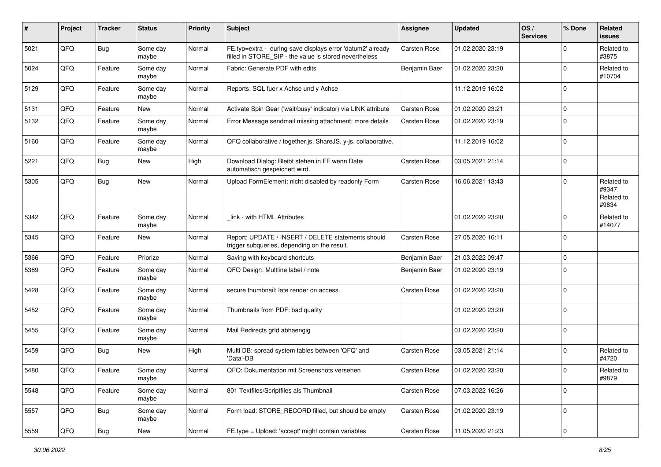| #    | Project        | <b>Tracker</b> | <b>Status</b>     | <b>Priority</b> | <b>Subject</b>                                                                                                       | <b>Assignee</b>     | Updated          | OS/<br><b>Services</b> | % Done      | Related<br>issues                           |
|------|----------------|----------------|-------------------|-----------------|----------------------------------------------------------------------------------------------------------------------|---------------------|------------------|------------------------|-------------|---------------------------------------------|
| 5021 | QFQ            | Bug            | Some day<br>maybe | Normal          | FE.typ=extra - during save displays error 'datum2' already<br>filled in STORE_SIP - the value is stored nevertheless | <b>Carsten Rose</b> | 01.02.2020 23:19 |                        | $\Omega$    | Related to<br>#3875                         |
| 5024 | QFQ            | Feature        | Some day<br>maybe | Normal          | Fabric: Generate PDF with edits                                                                                      | Benjamin Baer       | 01.02.2020 23:20 |                        | $\Omega$    | Related to<br>#10704                        |
| 5129 | QFQ            | Feature        | Some day<br>maybe | Normal          | Reports: SQL fuer x Achse und y Achse                                                                                |                     | 11.12.2019 16:02 |                        | $\Omega$    |                                             |
| 5131 | QFQ            | Feature        | New               | Normal          | Activate Spin Gear ('wait/busy' indicator) via LINK attribute                                                        | <b>Carsten Rose</b> | 01.02.2020 23:21 |                        | $\mathbf 0$ |                                             |
| 5132 | QFQ            | Feature        | Some day<br>maybe | Normal          | Error Message sendmail missing attachment: more details                                                              | <b>Carsten Rose</b> | 01.02.2020 23:19 |                        | $\Omega$    |                                             |
| 5160 | QFQ            | Feature        | Some day<br>maybe | Normal          | QFQ collaborative / together.js, ShareJS, y-js, collaborative,                                                       |                     | 11.12.2019 16:02 |                        | $\mathbf 0$ |                                             |
| 5221 | QFQ            | Bug            | <b>New</b>        | High            | Download Dialog: Bleibt stehen in FF wenn Datei<br>automatisch gespeichert wird.                                     | <b>Carsten Rose</b> | 03.05.2021 21:14 |                        | $\mathbf 0$ |                                             |
| 5305 | QFQ            | Bug            | New               | Normal          | Upload FormElement: nicht disabled by readonly Form                                                                  | <b>Carsten Rose</b> | 16.06.2021 13:43 |                        | $\Omega$    | Related to<br>#9347,<br>Related to<br>#9834 |
| 5342 | QFQ            | Feature        | Some day<br>maybe | Normal          | link - with HTML Attributes                                                                                          |                     | 01.02.2020 23:20 |                        | $\Omega$    | Related to<br>#14077                        |
| 5345 | QFQ            | Feature        | <b>New</b>        | Normal          | Report: UPDATE / INSERT / DELETE statements should<br>trigger subqueries, depending on the result.                   | <b>Carsten Rose</b> | 27.05.2020 16:11 |                        | $\mathbf 0$ |                                             |
| 5366 | QFQ            | Feature        | Priorize          | Normal          | Saving with keyboard shortcuts                                                                                       | Benjamin Baer       | 21.03.2022 09:47 |                        | 0           |                                             |
| 5389 | QFQ            | Feature        | Some day<br>maybe | Normal          | QFQ Design: Multline label / note                                                                                    | Benjamin Baer       | 01.02.2020 23:19 |                        | $\Omega$    |                                             |
| 5428 | QFQ            | Feature        | Some day<br>maybe | Normal          | secure thumbnail: late render on access.                                                                             | <b>Carsten Rose</b> | 01.02.2020 23:20 |                        | $\Omega$    |                                             |
| 5452 | QFQ            | Feature        | Some day<br>maybe | Normal          | Thumbnails from PDF: bad quality                                                                                     |                     | 01.02.2020 23:20 |                        | $\Omega$    |                                             |
| 5455 | QFQ            | Feature        | Some day<br>maybe | Normal          | Mail Redirects grld abhaengig                                                                                        |                     | 01.02.2020 23:20 |                        | $\mathbf 0$ |                                             |
| 5459 | QFQ            | Bug            | <b>New</b>        | High            | Multi DB: spread system tables between 'QFQ' and<br>'Data'-DB                                                        | <b>Carsten Rose</b> | 03.05.2021 21:14 |                        | $\Omega$    | Related to<br>#4720                         |
| 5480 | QFQ            | Feature        | Some day<br>maybe | Normal          | QFQ: Dokumentation mit Screenshots versehen                                                                          | <b>Carsten Rose</b> | 01.02.2020 23:20 |                        | $\Omega$    | Related to<br>#9879                         |
| 5548 | QFQ            | Feature        | Some day<br>maybe | Normal          | 801 Textfiles/Scriptfiles als Thumbnail                                                                              | Carsten Rose        | 07.03.2022 16:26 |                        | $\mathbf 0$ |                                             |
| 5557 | QFG            | Bug            | Some day<br>maybe | Normal          | Form load: STORE_RECORD filled, but should be empty                                                                  | Carsten Rose        | 01.02.2020 23:19 |                        | $\mathbf 0$ |                                             |
| 5559 | $\mathsf{QFQ}$ | Bug            | New               | Normal          | FE.type = Upload: 'accept' might contain variables                                                                   | Carsten Rose        | 11.05.2020 21:23 |                        | $\mathbf 0$ |                                             |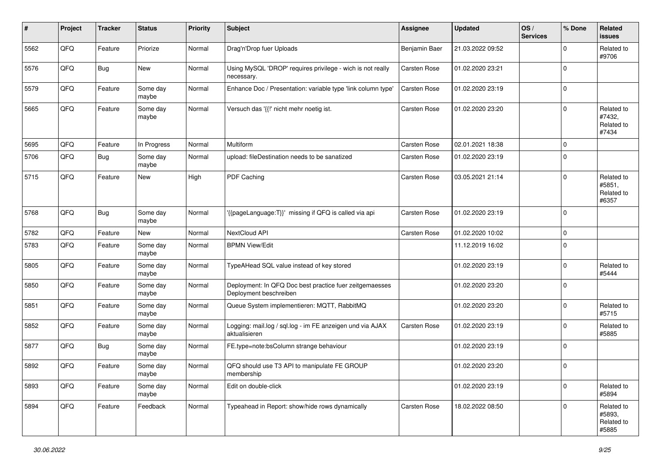| #    | Project | <b>Tracker</b> | <b>Status</b>     | <b>Priority</b> | <b>Subject</b>                                                                    | <b>Assignee</b>     | <b>Updated</b>   | OS/<br><b>Services</b> | % Done      | Related<br>issues                           |
|------|---------|----------------|-------------------|-----------------|-----------------------------------------------------------------------------------|---------------------|------------------|------------------------|-------------|---------------------------------------------|
| 5562 | QFQ     | Feature        | Priorize          | Normal          | Drag'n'Drop fuer Uploads                                                          | Benjamin Baer       | 21.03.2022 09:52 |                        | $\Omega$    | Related to<br>#9706                         |
| 5576 | QFQ     | Bug            | New               | Normal          | Using MySQL 'DROP' requires privilege - wich is not really<br>necessary.          | <b>Carsten Rose</b> | 01.02.2020 23:21 |                        | $\Omega$    |                                             |
| 5579 | QFQ     | Feature        | Some day<br>maybe | Normal          | Enhance Doc / Presentation: variable type 'link column type'                      | <b>Carsten Rose</b> | 01.02.2020 23:19 |                        | $\Omega$    |                                             |
| 5665 | QFQ     | Feature        | Some day<br>maybe | Normal          | Versuch das '{{!' nicht mehr noetig ist.                                          | <b>Carsten Rose</b> | 01.02.2020 23:20 |                        | $\Omega$    | Related to<br>#7432,<br>Related to<br>#7434 |
| 5695 | QFQ     | Feature        | In Progress       | Normal          | Multiform                                                                         | <b>Carsten Rose</b> | 02.01.2021 18:38 |                        | $\Omega$    |                                             |
| 5706 | QFQ     | Bug            | Some day<br>maybe | Normal          | upload: fileDestination needs to be sanatized                                     | <b>Carsten Rose</b> | 01.02.2020 23:19 |                        | $\Omega$    |                                             |
| 5715 | QFQ     | Feature        | New               | High            | PDF Caching                                                                       | Carsten Rose        | 03.05.2021 21:14 |                        | $\Omega$    | Related to<br>#5851,<br>Related to<br>#6357 |
| 5768 | QFQ     | Bug            | Some day<br>maybe | Normal          | '{{pageLanguage:T}}' missing if QFQ is called via api                             | <b>Carsten Rose</b> | 01.02.2020 23:19 |                        | $\mathbf 0$ |                                             |
| 5782 | QFQ     | Feature        | <b>New</b>        | Normal          | NextCloud API                                                                     | Carsten Rose        | 01.02.2020 10:02 |                        | $\mathbf 0$ |                                             |
| 5783 | QFQ     | Feature        | Some day<br>maybe | Normal          | <b>BPMN View/Edit</b>                                                             |                     | 11.12.2019 16:02 |                        | $\Omega$    |                                             |
| 5805 | QFQ     | Feature        | Some day<br>maybe | Normal          | TypeAHead SQL value instead of key stored                                         |                     | 01.02.2020 23:19 |                        | 0           | Related to<br>#5444                         |
| 5850 | QFQ     | Feature        | Some day<br>maybe | Normal          | Deployment: In QFQ Doc best practice fuer zeitgemaesses<br>Deployment beschreiben |                     | 01.02.2020 23:20 |                        | $\Omega$    |                                             |
| 5851 | QFQ     | Feature        | Some day<br>maybe | Normal          | Queue System implementieren: MQTT, RabbitMQ                                       |                     | 01.02.2020 23:20 |                        | $\Omega$    | Related to<br>#5715                         |
| 5852 | QFQ     | Feature        | Some day<br>maybe | Normal          | Logging: mail.log / sql.log - im FE anzeigen und via AJAX<br>aktualisieren        | <b>Carsten Rose</b> | 01.02.2020 23:19 |                        | $\Omega$    | Related to<br>#5885                         |
| 5877 | QFQ     | Bug            | Some day<br>maybe | Normal          | FE.type=note:bsColumn strange behaviour                                           |                     | 01.02.2020 23:19 |                        | $\Omega$    |                                             |
| 5892 | QFQ     | Feature        | Some day<br>maybe | Normal          | QFQ should use T3 API to manipulate FE GROUP<br>membership                        |                     | 01.02.2020 23:20 |                        | $\Omega$    |                                             |
| 5893 | QFQ     | Feature        | Some day<br>maybe | Normal          | Edit on double-click                                                              |                     | 01.02.2020 23:19 |                        | $\mathbf 0$ | Related to<br>#5894                         |
| 5894 | QFQ     | Feature        | Feedback          | Normal          | Typeahead in Report: show/hide rows dynamically                                   | Carsten Rose        | 18.02.2022 08:50 |                        | $\mathbf 0$ | Related to<br>#5893,<br>Related to<br>#5885 |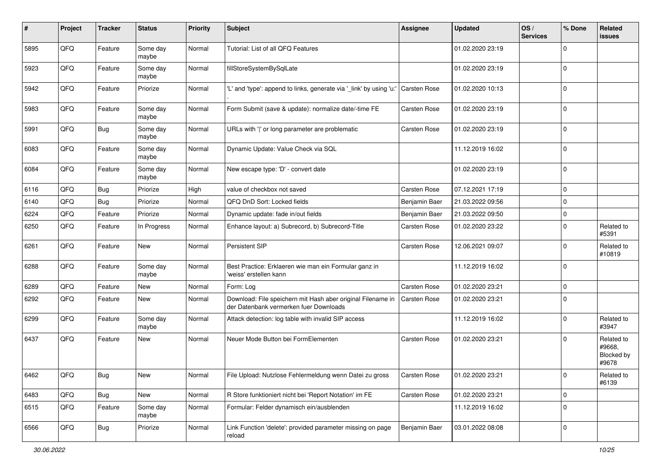| #    | Project | <b>Tracker</b> | <b>Status</b>     | <b>Priority</b> | <b>Subject</b>                                                                                        | <b>Assignee</b>     | <b>Updated</b>   | OS/<br><b>Services</b> | % Done      | Related<br>issues                           |
|------|---------|----------------|-------------------|-----------------|-------------------------------------------------------------------------------------------------------|---------------------|------------------|------------------------|-------------|---------------------------------------------|
| 5895 | QFQ     | Feature        | Some day<br>maybe | Normal          | Tutorial: List of all QFQ Features                                                                    |                     | 01.02.2020 23:19 |                        | $\Omega$    |                                             |
| 5923 | QFQ     | Feature        | Some day<br>maybe | Normal          | fillStoreSystemBySqlLate                                                                              |                     | 01.02.2020 23:19 |                        | 0           |                                             |
| 5942 | QFQ     | Feature        | Priorize          | Normal          | 'L' and 'type': append to links, generate via '_link' by using 'u:'                                   | <b>Carsten Rose</b> | 01.02.2020 10:13 |                        | $\Omega$    |                                             |
| 5983 | QFQ     | Feature        | Some day<br>maybe | Normal          | Form Submit (save & update): normalize date/-time FE                                                  | <b>Carsten Rose</b> | 01.02.2020 23:19 |                        | 0           |                                             |
| 5991 | QFQ     | Bug            | Some day<br>maybe | Normal          | URLs with ' ' or long parameter are problematic                                                       | <b>Carsten Rose</b> | 01.02.2020 23:19 |                        | $\Omega$    |                                             |
| 6083 | QFQ     | Feature        | Some day<br>maybe | Normal          | Dynamic Update: Value Check via SQL                                                                   |                     | 11.12.2019 16:02 |                        | $\Omega$    |                                             |
| 6084 | QFQ     | Feature        | Some day<br>maybe | Normal          | New escape type: 'D' - convert date                                                                   |                     | 01.02.2020 23:19 |                        | $\Omega$    |                                             |
| 6116 | QFQ     | Bug            | Priorize          | High            | value of checkbox not saved                                                                           | <b>Carsten Rose</b> | 07.12.2021 17:19 |                        | 0           |                                             |
| 6140 | QFQ     | Bug            | Priorize          | Normal          | QFQ DnD Sort: Locked fields                                                                           | Benjamin Baer       | 21.03.2022 09:56 |                        | 0           |                                             |
| 6224 | QFQ     | Feature        | Priorize          | Normal          | Dynamic update: fade in/out fields                                                                    | Benjamin Baer       | 21.03.2022 09:50 |                        | $\Omega$    |                                             |
| 6250 | QFQ     | Feature        | In Progress       | Normal          | Enhance layout: a) Subrecord, b) Subrecord-Title                                                      | <b>Carsten Rose</b> | 01.02.2020 23:22 |                        | $\mathbf 0$ | Related to<br>#5391                         |
| 6261 | QFQ     | Feature        | <b>New</b>        | Normal          | Persistent SIP                                                                                        | <b>Carsten Rose</b> | 12.06.2021 09:07 |                        | $\Omega$    | Related to<br>#10819                        |
| 6288 | QFQ     | Feature        | Some day<br>maybe | Normal          | Best Practice: Erklaeren wie man ein Formular ganz in<br>'weiss' erstellen kann                       |                     | 11.12.2019 16:02 |                        | $\mathbf 0$ |                                             |
| 6289 | QFQ     | Feature        | New               | Normal          | Form: Log                                                                                             | <b>Carsten Rose</b> | 01.02.2020 23:21 |                        | 0           |                                             |
| 6292 | QFQ     | Feature        | New               | Normal          | Download: File speichern mit Hash aber original Filename in<br>der Datenbank vermerken fuer Downloads | Carsten Rose        | 01.02.2020 23:21 |                        | $\Omega$    |                                             |
| 6299 | QFQ     | Feature        | Some day<br>maybe | Normal          | Attack detection: log table with invalid SIP access                                                   |                     | 11.12.2019 16:02 |                        | $\Omega$    | Related to<br>#3947                         |
| 6437 | QFQ     | Feature        | <b>New</b>        | Normal          | Neuer Mode Button bei FormElementen                                                                   | <b>Carsten Rose</b> | 01.02.2020 23:21 |                        | $\Omega$    | Related to<br>#9668,<br>Blocked by<br>#9678 |
| 6462 | QFQ     | Bug            | <b>New</b>        | Normal          | File Upload: Nutzlose Fehlermeldung wenn Datei zu gross                                               | Carsten Rose        | 01.02.2020 23:21 |                        | O           | Related to<br>#6139                         |
| 6483 | QFQ     | Bug            | New               | Normal          | R Store funktioniert nicht bei 'Report Notation' im FE                                                | Carsten Rose        | 01.02.2020 23:21 |                        | 0           |                                             |
| 6515 | QFQ     | Feature        | Some day<br>maybe | Normal          | Formular: Felder dynamisch ein/ausblenden                                                             |                     | 11.12.2019 16:02 |                        | $\mathbf 0$ |                                             |
| 6566 | QFQ     | Bug            | Priorize          | Normal          | Link Function 'delete': provided parameter missing on page<br>reload                                  | Benjamin Baer       | 03.01.2022 08:08 |                        | 0           |                                             |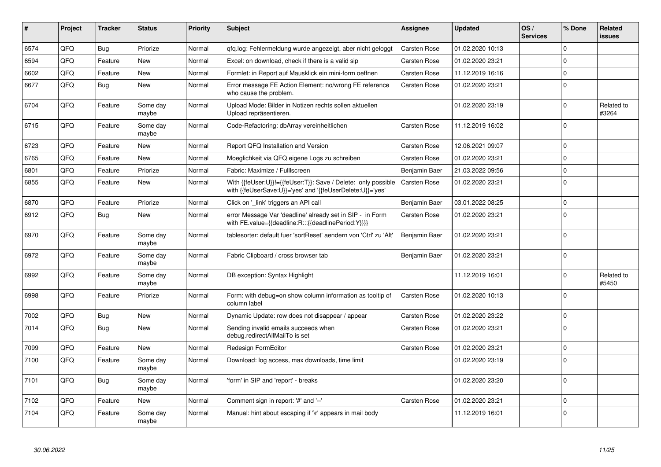| #    | Project | <b>Tracker</b> | <b>Status</b>     | <b>Priority</b> | <b>Subject</b>                                                                                                             | <b>Assignee</b>     | <b>Updated</b>   | OS/<br><b>Services</b> | % Done      | Related<br><b>issues</b> |
|------|---------|----------------|-------------------|-----------------|----------------------------------------------------------------------------------------------------------------------------|---------------------|------------------|------------------------|-------------|--------------------------|
| 6574 | QFQ     | Bug            | Priorize          | Normal          | gfg.log: Fehlermeldung wurde angezeigt, aber nicht geloggt                                                                 | <b>Carsten Rose</b> | 01.02.2020 10:13 |                        | $\Omega$    |                          |
| 6594 | QFQ     | Feature        | New               | Normal          | Excel: on download, check if there is a valid sip                                                                          | Carsten Rose        | 01.02.2020 23:21 |                        | $\Omega$    |                          |
| 6602 | QFQ     | Feature        | <b>New</b>        | Normal          | Formlet: in Report auf Mausklick ein mini-form oeffnen                                                                     | <b>Carsten Rose</b> | 11.12.2019 16:16 |                        | $\Omega$    |                          |
| 6677 | QFQ     | Bug            | <b>New</b>        | Normal          | Error message FE Action Element: no/wrong FE reference<br>who cause the problem.                                           | <b>Carsten Rose</b> | 01.02.2020 23:21 |                        | $\mathbf 0$ |                          |
| 6704 | QFQ     | Feature        | Some day<br>maybe | Normal          | Upload Mode: Bilder in Notizen rechts sollen aktuellen<br>Upload repräsentieren.                                           |                     | 01.02.2020 23:19 |                        | 0           | Related to<br>#3264      |
| 6715 | QFQ     | Feature        | Some day<br>maybe | Normal          | Code-Refactoring: dbArray vereinheitlichen                                                                                 | <b>Carsten Rose</b> | 11.12.2019 16:02 |                        | $\Omega$    |                          |
| 6723 | QFQ     | Feature        | <b>New</b>        | Normal          | Report QFQ Installation and Version                                                                                        | <b>Carsten Rose</b> | 12.06.2021 09:07 |                        | $\Omega$    |                          |
| 6765 | QFQ     | Feature        | New               | Normal          | Moeglichkeit via QFQ eigene Logs zu schreiben                                                                              | <b>Carsten Rose</b> | 01.02.2020 23:21 |                        | $\Omega$    |                          |
| 6801 | QFQ     | Feature        | Priorize          | Normal          | Fabric: Maximize / Fulllscreen                                                                                             | Benjamin Baer       | 21.03.2022 09:56 |                        | $\Omega$    |                          |
| 6855 | QFQ     | Feature        | New               | Normal          | With {{feUser:U}}!={{feUser:T}}: Save / Delete: only possible<br>with {{feUserSave:U}}='yes' and '{{feUserDelete:U}}='yes' | <b>Carsten Rose</b> | 01.02.2020 23:21 |                        | $\Omega$    |                          |
| 6870 | QFQ     | Feature        | Priorize          | Normal          | Click on '_link' triggers an API call                                                                                      | Benjamin Baer       | 03.01.2022 08:25 |                        | 0           |                          |
| 6912 | QFQ     | <b>Bug</b>     | <b>New</b>        | Normal          | error Message Var 'deadline' already set in SIP - in Form<br>with FE.value={{deadline:R:::{{deadlinePeriod:Y}}}}           | <b>Carsten Rose</b> | 01.02.2020 23:21 |                        | $\Omega$    |                          |
| 6970 | QFQ     | Feature        | Some day<br>maybe | Normal          | tablesorter: default fuer 'sortReset' aendern von 'Ctrl' zu 'Alt'                                                          | Benjamin Baer       | 01.02.2020 23:21 |                        | $\Omega$    |                          |
| 6972 | QFQ     | Feature        | Some day<br>maybe | Normal          | Fabric Clipboard / cross browser tab                                                                                       | Benjamin Baer       | 01.02.2020 23:21 |                        | $\Omega$    |                          |
| 6992 | QFQ     | Feature        | Some day<br>maybe | Normal          | DB exception: Syntax Highlight                                                                                             |                     | 11.12.2019 16:01 |                        | $\Omega$    | Related to<br>#5450      |
| 6998 | QFQ     | Feature        | Priorize          | Normal          | Form: with debug=on show column information as tooltip of<br>column label                                                  | <b>Carsten Rose</b> | 01.02.2020 10:13 |                        | $\mathbf 0$ |                          |
| 7002 | QFQ     | <b>Bug</b>     | New               | Normal          | Dynamic Update: row does not disappear / appear                                                                            | <b>Carsten Rose</b> | 01.02.2020 23:22 |                        | $\Omega$    |                          |
| 7014 | QFQ     | <b>Bug</b>     | <b>New</b>        | Normal          | Sending invalid emails succeeds when<br>debug.redirectAllMailTo is set                                                     | <b>Carsten Rose</b> | 01.02.2020 23:21 |                        | $\Omega$    |                          |
| 7099 | QFQ     | Feature        | <b>New</b>        | Normal          | Redesign FormEditor                                                                                                        | <b>Carsten Rose</b> | 01.02.2020 23:21 |                        | $\Omega$    |                          |
| 7100 | QFQ     | Feature        | Some day<br>maybe | Normal          | Download: log access, max downloads, time limit                                                                            |                     | 01.02.2020 23:19 |                        | $\Omega$    |                          |
| 7101 | QFQ     | <b>Bug</b>     | Some day<br>maybe | Normal          | 'form' in SIP and 'report' - breaks                                                                                        |                     | 01.02.2020 23:20 |                        | $\Omega$    |                          |
| 7102 | QFQ     | Feature        | <b>New</b>        | Normal          | Comment sign in report: '#' and '--'                                                                                       | <b>Carsten Rose</b> | 01.02.2020 23:21 |                        | $\Omega$    |                          |
| 7104 | QFQ     | Feature        | Some day<br>maybe | Normal          | Manual: hint about escaping if '\r' appears in mail body                                                                   |                     | 11.12.2019 16:01 |                        | $\Omega$    |                          |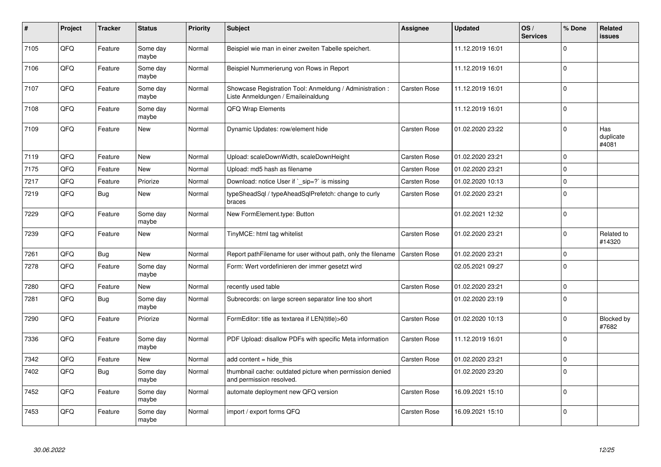| #    | Project | <b>Tracker</b> | <b>Status</b>     | <b>Priority</b> | <b>Subject</b>                                                                                 | <b>Assignee</b>     | <b>Updated</b>   | OS/<br><b>Services</b> | % Done      | Related<br>issues         |
|------|---------|----------------|-------------------|-----------------|------------------------------------------------------------------------------------------------|---------------------|------------------|------------------------|-------------|---------------------------|
| 7105 | QFQ     | Feature        | Some day<br>maybe | Normal          | Beispiel wie man in einer zweiten Tabelle speichert.                                           |                     | 11.12.2019 16:01 |                        | $\Omega$    |                           |
| 7106 | QFQ     | Feature        | Some day<br>maybe | Normal          | Beispiel Nummerierung von Rows in Report                                                       |                     | 11.12.2019 16:01 |                        | $\Omega$    |                           |
| 7107 | QFQ     | Feature        | Some day<br>maybe | Normal          | Showcase Registration Tool: Anmeldung / Administration :<br>Liste Anmeldungen / Emaileinaldung | <b>Carsten Rose</b> | 11.12.2019 16:01 |                        | $\Omega$    |                           |
| 7108 | QFQ     | Feature        | Some day<br>maybe | Normal          | QFQ Wrap Elements                                                                              |                     | 11.12.2019 16:01 |                        | $\Omega$    |                           |
| 7109 | QFQ     | Feature        | <b>New</b>        | Normal          | Dynamic Updates: row/element hide                                                              | <b>Carsten Rose</b> | 01.02.2020 23:22 |                        | $\Omega$    | Has<br>duplicate<br>#4081 |
| 7119 | QFQ     | Feature        | New               | Normal          | Upload: scaleDownWidth, scaleDownHeight                                                        | Carsten Rose        | 01.02.2020 23:21 |                        | $\Omega$    |                           |
| 7175 | QFQ     | Feature        | New               | Normal          | Upload: md5 hash as filename                                                                   | Carsten Rose        | 01.02.2020 23:21 |                        | $\Omega$    |                           |
| 7217 | QFQ     | Feature        | Priorize          | Normal          | Download: notice User if `_sip=?` is missing                                                   | <b>Carsten Rose</b> | 01.02.2020 10:13 |                        | $\Omega$    |                           |
| 7219 | QFQ     | Bug            | <b>New</b>        | Normal          | typeSheadSql / typeAheadSqlPrefetch: change to curly<br>braces                                 | <b>Carsten Rose</b> | 01.02.2020 23:21 |                        | $\mathbf 0$ |                           |
| 7229 | QFQ     | Feature        | Some day<br>maybe | Normal          | New FormElement.type: Button                                                                   |                     | 01.02.2021 12:32 |                        | $\Omega$    |                           |
| 7239 | QFQ     | Feature        | New               | Normal          | TinyMCE: html tag whitelist                                                                    | Carsten Rose        | 01.02.2020 23:21 |                        | $\Omega$    | Related to<br>#14320      |
| 7261 | QFQ     | Bug            | <b>New</b>        | Normal          | Report pathFilename for user without path, only the filename                                   | <b>Carsten Rose</b> | 01.02.2020 23:21 |                        | $\Omega$    |                           |
| 7278 | QFQ     | Feature        | Some day<br>maybe | Normal          | Form: Wert vordefinieren der immer gesetzt wird                                                |                     | 02.05.2021 09:27 |                        | $\Omega$    |                           |
| 7280 | QFQ     | Feature        | <b>New</b>        | Normal          | recently used table                                                                            | Carsten Rose        | 01.02.2020 23:21 |                        | 0           |                           |
| 7281 | QFQ     | Bug            | Some day<br>maybe | Normal          | Subrecords: on large screen separator line too short                                           |                     | 01.02.2020 23:19 |                        | $\Omega$    |                           |
| 7290 | QFQ     | Feature        | Priorize          | Normal          | FormEditor: title as textarea if LEN(title)>60                                                 | <b>Carsten Rose</b> | 01.02.2020 10:13 |                        | $\Omega$    | Blocked by<br>#7682       |
| 7336 | QFQ     | Feature        | Some day<br>maybe | Normal          | PDF Upload: disallow PDFs with specific Meta information                                       | <b>Carsten Rose</b> | 11.12.2019 16:01 |                        | $\Omega$    |                           |
| 7342 | QFQ     | Feature        | New               | Normal          | add content = hide this                                                                        | Carsten Rose        | 01.02.2020 23:21 |                        | 0           |                           |
| 7402 | QFQ     | Bug            | Some day<br>maybe | Normal          | thumbnail cache: outdated picture when permission denied<br>and permission resolved.           |                     | 01.02.2020 23:20 |                        | $\Omega$    |                           |
| 7452 | QFQ     | Feature        | Some day<br>maybe | Normal          | automate deployment new QFQ version                                                            | Carsten Rose        | 16.09.2021 15:10 |                        | $\Omega$    |                           |
| 7453 | QFQ     | Feature        | Some day<br>maybe | Normal          | import / export forms QFQ                                                                      | <b>Carsten Rose</b> | 16.09.2021 15:10 |                        | $\Omega$    |                           |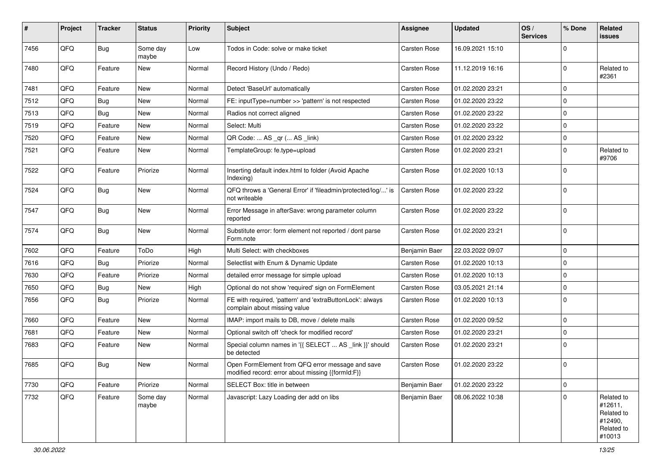| #    | Project | <b>Tracker</b> | <b>Status</b>     | <b>Priority</b> | <b>Subject</b>                                                                                        | <b>Assignee</b>     | <b>Updated</b>   | OS/<br><b>Services</b> | % Done      | Related<br>issues                                                      |
|------|---------|----------------|-------------------|-----------------|-------------------------------------------------------------------------------------------------------|---------------------|------------------|------------------------|-------------|------------------------------------------------------------------------|
| 7456 | QFQ     | Bug            | Some day<br>maybe | Low             | Todos in Code: solve or make ticket                                                                   | <b>Carsten Rose</b> | 16.09.2021 15:10 |                        | 0           |                                                                        |
| 7480 | QFQ     | Feature        | New               | Normal          | Record History (Undo / Redo)                                                                          | <b>Carsten Rose</b> | 11.12.2019 16:16 |                        | $\Omega$    | Related to<br>#2361                                                    |
| 7481 | QFQ     | Feature        | <b>New</b>        | Normal          | Detect 'BaseUrl' automatically                                                                        | <b>Carsten Rose</b> | 01.02.2020 23:21 |                        | 0           |                                                                        |
| 7512 | QFQ     | Bug            | <b>New</b>        | Normal          | FE: inputType=number >> 'pattern' is not respected                                                    | <b>Carsten Rose</b> | 01.02.2020 23:22 |                        | $\Omega$    |                                                                        |
| 7513 | QFQ     | Bug            | New               | Normal          | Radios not correct aligned                                                                            | <b>Carsten Rose</b> | 01.02.2020 23:22 |                        | $\mathbf 0$ |                                                                        |
| 7519 | QFQ     | Feature        | New               | Normal          | Select: Multi                                                                                         | <b>Carsten Rose</b> | 01.02.2020 23:22 |                        | $\Omega$    |                                                                        |
| 7520 | QFQ     | Feature        | <b>New</b>        | Normal          | QR Code:  AS _qr ( AS _link)                                                                          | <b>Carsten Rose</b> | 01.02.2020 23:22 |                        | 0           |                                                                        |
| 7521 | QFQ     | Feature        | New               | Normal          | TemplateGroup: fe.type=upload                                                                         | <b>Carsten Rose</b> | 01.02.2020 23:21 |                        | $\Omega$    | Related to<br>#9706                                                    |
| 7522 | QFQ     | Feature        | Priorize          | Normal          | Inserting default index.html to folder (Avoid Apache<br>Indexing)                                     | <b>Carsten Rose</b> | 01.02.2020 10:13 |                        | $\Omega$    |                                                                        |
| 7524 | QFQ     | <b>Bug</b>     | New               | Normal          | QFQ throws a 'General Error' if 'fileadmin/protected/log/' is<br>not writeable                        | <b>Carsten Rose</b> | 01.02.2020 23:22 |                        | $\Omega$    |                                                                        |
| 7547 | QFQ     | Bug            | <b>New</b>        | Normal          | Error Message in afterSave: wrong parameter column<br>reported                                        | <b>Carsten Rose</b> | 01.02.2020 23:22 |                        | $\Omega$    |                                                                        |
| 7574 | QFQ     | Bug            | New               | Normal          | Substitute error: form element not reported / dont parse<br>Form.note                                 | <b>Carsten Rose</b> | 01.02.2020 23:21 |                        | $\Omega$    |                                                                        |
| 7602 | QFQ     | Feature        | ToDo              | High            | Multi Select: with checkboxes                                                                         | Benjamin Baer       | 22.03.2022 09:07 |                        | $\mathbf 0$ |                                                                        |
| 7616 | QFQ     | Bug            | Priorize          | Normal          | Selectlist with Enum & Dynamic Update                                                                 | <b>Carsten Rose</b> | 01.02.2020 10:13 |                        | $\mathbf 0$ |                                                                        |
| 7630 | QFQ     | Feature        | Priorize          | Normal          | detailed error message for simple upload                                                              | <b>Carsten Rose</b> | 01.02.2020 10:13 |                        | $\Omega$    |                                                                        |
| 7650 | QFQ     | <b>Bug</b>     | <b>New</b>        | High            | Optional do not show 'required' sign on FormElement                                                   | <b>Carsten Rose</b> | 03.05.2021 21:14 |                        | $\mathbf 0$ |                                                                        |
| 7656 | QFQ     | Bug            | Priorize          | Normal          | FE with required, 'pattern' and 'extraButtonLock': always<br>complain about missing value             | <b>Carsten Rose</b> | 01.02.2020 10:13 |                        | $\Omega$    |                                                                        |
| 7660 | QFQ     | Feature        | <b>New</b>        | Normal          | IMAP: import mails to DB, move / delete mails                                                         | <b>Carsten Rose</b> | 01.02.2020 09:52 |                        | $\mathbf 0$ |                                                                        |
| 7681 | QFQ     | Feature        | New               | Normal          | Optional switch off 'check for modified record'                                                       | <b>Carsten Rose</b> | 01.02.2020 23:21 |                        | $\Omega$    |                                                                        |
| 7683 | QFQ     | Feature        | New               | Normal          | Special column names in '{{ SELECT  AS _link }}' should<br>be detected                                | <b>Carsten Rose</b> | 01.02.2020 23:21 |                        | 0           |                                                                        |
| 7685 | QFQ     | Bug            | <b>New</b>        | Normal          | Open FormElement from QFQ error message and save<br>modified record: error about missing {{formId:F}} | <b>Carsten Rose</b> | 01.02.2020 23:22 |                        | $\Omega$    |                                                                        |
| 7730 | QFQ     | Feature        | Priorize          | Normal          | SELECT Box: title in between                                                                          | Benjamin Baer       | 01.02.2020 23:22 |                        | 0           |                                                                        |
| 7732 | QFQ     | Feature        | Some day<br>maybe | Normal          | Javascript: Lazy Loading der add on libs                                                              | Benjamin Baer       | 08.06.2022 10:38 |                        | $\mathbf 0$ | Related to<br>#12611,<br>Related to<br>#12490,<br>Related to<br>#10013 |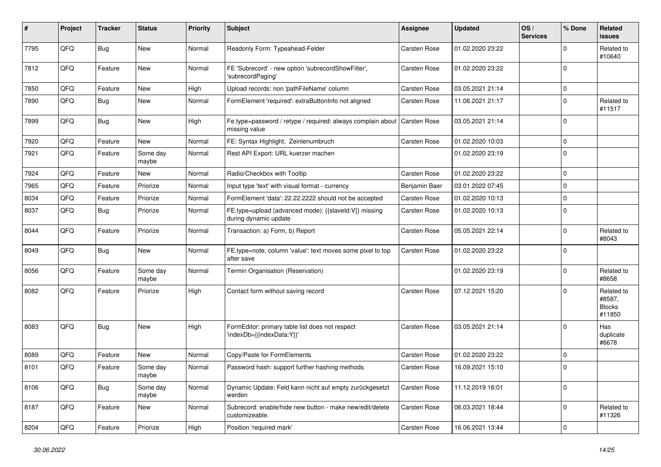| ∦    | Project | <b>Tracker</b> | <b>Status</b>     | <b>Priority</b> | <b>Subject</b>                                                                 | <b>Assignee</b>     | <b>Updated</b>   | OS/<br><b>Services</b> | % Done       | Related<br><b>issues</b>                        |
|------|---------|----------------|-------------------|-----------------|--------------------------------------------------------------------------------|---------------------|------------------|------------------------|--------------|-------------------------------------------------|
| 7795 | QFQ     | Bug            | <b>New</b>        | Normal          | Readonly Form: Typeahead-Felder                                                | <b>Carsten Rose</b> | 01.02.2020 23:22 |                        | $\Omega$     | Related to<br>#10640                            |
| 7812 | QFQ     | Feature        | New               | Normal          | FE 'Subrecord' - new option 'subrecordShowFilter',<br>'subrecordPaging'        | <b>Carsten Rose</b> | 01.02.2020 23:22 |                        | $\Omega$     |                                                 |
| 7850 | QFQ     | Feature        | <b>New</b>        | High            | Upload records: non 'pathFileName' column                                      | <b>Carsten Rose</b> | 03.05.2021 21:14 |                        | $\Omega$     |                                                 |
| 7890 | QFQ     | <b>Bug</b>     | New               | Normal          | FormElement 'required': extraButtonInfo not aligned                            | <b>Carsten Rose</b> | 11.06.2021 21:17 |                        | $\Omega$     | Related to<br>#11517                            |
| 7899 | QFQ     | Bug            | <b>New</b>        | High            | Fe.type=password / retype / required: always complain about<br>missing value   | Carsten Rose        | 03.05.2021 21:14 |                        | $\Omega$     |                                                 |
| 7920 | QFQ     | Feature        | <b>New</b>        | Normal          | FE: Syntax Highlight, Zeinlenumbruch                                           | Carsten Rose        | 01.02.2020 10:03 |                        | $\mathbf 0$  |                                                 |
| 7921 | QFQ     | Feature        | Some day<br>maybe | Normal          | Rest API Export: URL kuerzer machen                                            |                     | 01.02.2020 23:19 |                        | $\Omega$     |                                                 |
| 7924 | QFQ     | Feature        | <b>New</b>        | Normal          | Radio/Checkbox with Tooltip                                                    | <b>Carsten Rose</b> | 01.02.2020 23:22 |                        | $\mathbf 0$  |                                                 |
| 7965 | QFQ     | Feature        | Priorize          | Normal          | Input type 'text' with visual format - currency                                | Benjamin Baer       | 03.01.2022 07:45 |                        | $\Omega$     |                                                 |
| 8034 | QFQ     | Feature        | Priorize          | Normal          | FormElement 'data': 22.22.2222 should not be accepted                          | <b>Carsten Rose</b> | 01.02.2020 10:13 |                        | $\mathbf{0}$ |                                                 |
| 8037 | QFQ     | Bug            | Priorize          | Normal          | FE.type=upload (advanced mode): {{slaveId:V}} missing<br>during dynamic update | Carsten Rose        | 01.02.2020 10:13 |                        | $\Omega$     |                                                 |
| 8044 | QFQ     | Feature        | Priorize          | Normal          | Transaction: a) Form, b) Report                                                | Carsten Rose        | 05.05.2021 22:14 |                        | $\Omega$     | Related to<br>#8043                             |
| 8049 | QFQ     | <b>Bug</b>     | <b>New</b>        | Normal          | FE.type=note, column 'value': text moves some pixel to top<br>after save       | <b>Carsten Rose</b> | 01.02.2020 23:22 |                        | $\Omega$     |                                                 |
| 8056 | QFQ     | Feature        | Some day<br>maybe | Normal          | Termin Organisation (Reservation)                                              |                     | 01.02.2020 23:19 |                        | $\Omega$     | Related to<br>#8658                             |
| 8082 | QFQ     | Feature        | Priorize          | High            | Contact form without saving record                                             | <b>Carsten Rose</b> | 07.12.2021 15:20 |                        | $\Omega$     | Related to<br>#8587,<br><b>Blocks</b><br>#11850 |
| 8083 | QFQ     | Bug            | <b>New</b>        | High            | FormEditor: primary table list does not respect<br>'indexDb={{indexData:Y}}'   | <b>Carsten Rose</b> | 03.05.2021 21:14 |                        | $\Omega$     | Has<br>duplicate<br>#6678                       |
| 8089 | QFQ     | Feature        | <b>New</b>        | Normal          | Copy/Paste for FormElements                                                    | <b>Carsten Rose</b> | 01.02.2020 23:22 |                        | $\mathbf 0$  |                                                 |
| 8101 | QFQ     | Feature        | Some day<br>maybe | Normal          | Password hash: support further hashing methods                                 | <b>Carsten Rose</b> | 16.09.2021 15:10 |                        | $\Omega$     |                                                 |
| 8106 | QFQ     | <b>Bug</b>     | Some day<br>maybe | Normal          | Dynamic Update: Feld kann nicht auf empty zurückgesetzt<br>werden              | <b>Carsten Rose</b> | 11.12.2019 16:01 |                        | $\mathbf 0$  |                                                 |
| 8187 | QFQ     | Feature        | New               | Normal          | Subrecord: enable/hide new button - make new/edit/delete<br>customizeable.     | Carsten Rose        | 06.03.2021 18:44 |                        | $\Omega$     | Related to<br>#11326                            |
| 8204 | QFG     | Feature        | Priorize          | High            | Position 'required mark'                                                       | Carsten Rose        | 16.06.2021 13:44 |                        | $\mathbf 0$  |                                                 |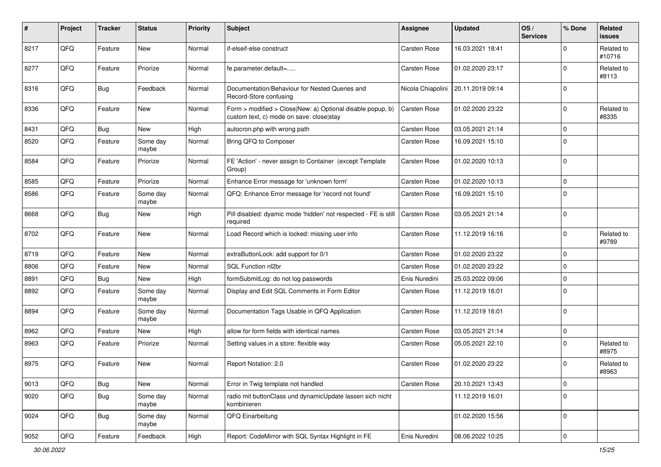| #    | Project | <b>Tracker</b> | <b>Status</b>     | <b>Priority</b> | <b>Subject</b>                                                                                         | <b>Assignee</b>     | <b>Updated</b>   | OS/<br><b>Services</b> | % Done      | Related<br>issues    |
|------|---------|----------------|-------------------|-----------------|--------------------------------------------------------------------------------------------------------|---------------------|------------------|------------------------|-------------|----------------------|
| 8217 | QFQ     | Feature        | <b>New</b>        | Normal          | if-elseif-else construct                                                                               | <b>Carsten Rose</b> | 16.03.2021 18:41 |                        | $\Omega$    | Related to<br>#10716 |
| 8277 | QFQ     | Feature        | Priorize          | Normal          | fe.parameter.default=                                                                                  | <b>Carsten Rose</b> | 01.02.2020 23:17 |                        | $\Omega$    | Related to<br>#8113  |
| 8316 | QFQ     | Bug            | Feedback          | Normal          | Documentation/Behaviour for Nested Queries and<br>Record-Store confusing                               | Nicola Chiapolini   | 20.11.2019 09:14 |                        | $\Omega$    |                      |
| 8336 | QFQ     | Feature        | New               | Normal          | Form > modified > Close New: a) Optional disable popup, b)<br>custom text, c) mode on save: close stay | <b>Carsten Rose</b> | 01.02.2020 23:22 |                        | 0           | Related to<br>#8335  |
| 8431 | QFQ     | Bug            | New               | High            | autocron.php with wrong path                                                                           | <b>Carsten Rose</b> | 03.05.2021 21:14 |                        | $\Omega$    |                      |
| 8520 | QFQ     | Feature        | Some day<br>maybe | Normal          | Bring QFQ to Composer                                                                                  | Carsten Rose        | 16.09.2021 15:10 |                        | $\Omega$    |                      |
| 8584 | QFQ     | Feature        | Priorize          | Normal          | FE 'Action' - never assign to Container (except Template<br>Group)                                     | <b>Carsten Rose</b> | 01.02.2020 10:13 |                        | 0           |                      |
| 8585 | QFQ     | Feature        | Priorize          | Normal          | Enhance Error message for 'unknown form'                                                               | Carsten Rose        | 01.02.2020 10:13 |                        | 0           |                      |
| 8586 | QFQ     | Feature        | Some day<br>maybe | Normal          | QFQ: Enhance Error message for 'record not found'                                                      | <b>Carsten Rose</b> | 16.09.2021 15:10 |                        | $\Omega$    |                      |
| 8668 | QFQ     | Bug            | <b>New</b>        | High            | Pill disabled: dyamic mode 'hidden' not respected - FE is still<br>required                            | <b>Carsten Rose</b> | 03.05.2021 21:14 |                        | $\Omega$    |                      |
| 8702 | QFQ     | Feature        | <b>New</b>        | Normal          | Load Record which is locked: missing user info                                                         | Carsten Rose        | 11.12.2019 16:16 |                        | $\Omega$    | Related to<br>#9789  |
| 8719 | QFQ     | Feature        | <b>New</b>        | Normal          | extraButtonLock: add support for 0/1                                                                   | <b>Carsten Rose</b> | 01.02.2020 23:22 |                        | $\mathbf 0$ |                      |
| 8806 | QFQ     | Feature        | New               | Normal          | SQL Function nl2br                                                                                     | <b>Carsten Rose</b> | 01.02.2020 23:22 |                        | 0           |                      |
| 8891 | QFQ     | Bug            | <b>New</b>        | High            | formSubmitLog: do not log passwords                                                                    | Enis Nuredini       | 25.03.2022 09:06 |                        | 0           |                      |
| 8892 | QFQ     | Feature        | Some day<br>maybe | Normal          | Display and Edit SQL Comments in Form Editor                                                           | <b>Carsten Rose</b> | 11.12.2019 16:01 |                        | $\Omega$    |                      |
| 8894 | QFQ     | Feature        | Some day<br>maybe | Normal          | Documentation Tags Usable in QFQ Application                                                           | <b>Carsten Rose</b> | 11.12.2019 16:01 |                        | 0           |                      |
| 8962 | QFQ     | Feature        | <b>New</b>        | High            | allow for form fields with identical names                                                             | <b>Carsten Rose</b> | 03.05.2021 21:14 |                        | 0           |                      |
| 8963 | QFQ     | Feature        | Priorize          | Normal          | Setting values in a store: flexible way                                                                | <b>Carsten Rose</b> | 05.05.2021 22:10 |                        | 0           | Related to<br>#8975  |
| 8975 | QFQ     | Feature        | <b>New</b>        | Normal          | Report Notation: 2.0                                                                                   | <b>Carsten Rose</b> | 01.02.2020 23:22 |                        | $\Omega$    | Related to<br>#8963  |
| 9013 | QFQ     | Bug            | New               | Normal          | Error in Twig template not handled                                                                     | Carsten Rose        | 20.10.2021 13:43 |                        | $\mathbf 0$ |                      |
| 9020 | QFQ     | <b>Bug</b>     | Some day<br>maybe | Normal          | radio mit buttonClass und dynamicUpdate lassen sich nicht<br>kombinieren                               |                     | 11.12.2019 16:01 |                        | $\Omega$    |                      |
| 9024 | QFQ     | <b>Bug</b>     | Some day<br>maybe | Normal          | QFQ Einarbeitung                                                                                       |                     | 01.02.2020 15:56 |                        | 0           |                      |
| 9052 | QFQ     | Feature        | Feedback          | High            | Report: CodeMirror with SQL Syntax Highlight in FE                                                     | Enis Nuredini       | 08.06.2022 10:25 |                        | $\mathbf 0$ |                      |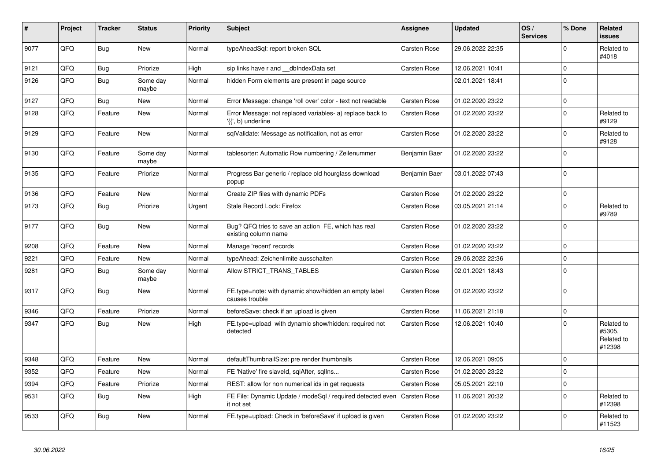| #    | Project | <b>Tracker</b> | <b>Status</b>     | <b>Priority</b> | <b>Subject</b>                                                                  | Assignee            | <b>Updated</b>   | OS/<br><b>Services</b> | % Done      | Related<br><b>issues</b>                     |
|------|---------|----------------|-------------------|-----------------|---------------------------------------------------------------------------------|---------------------|------------------|------------------------|-------------|----------------------------------------------|
| 9077 | QFQ     | Bug            | <b>New</b>        | Normal          | typeAheadSgl: report broken SQL                                                 | <b>Carsten Rose</b> | 29.06.2022 22:35 |                        | $\Omega$    | Related to<br>#4018                          |
| 9121 | QFQ     | <b>Bug</b>     | Priorize          | High            | sip links have r and __dbIndexData set                                          | Carsten Rose        | 12.06.2021 10:41 |                        | $\mathbf 0$ |                                              |
| 9126 | QFQ     | Bug            | Some day<br>maybe | Normal          | hidden Form elements are present in page source                                 |                     | 02.01.2021 18:41 |                        | $\Omega$    |                                              |
| 9127 | QFQ     | <b>Bug</b>     | <b>New</b>        | Normal          | Error Message: change 'roll over' color - text not readable                     | Carsten Rose        | 01.02.2020 23:22 |                        | $\mathbf 0$ |                                              |
| 9128 | QFQ     | Feature        | New               | Normal          | Error Message: not replaced variables- a) replace back to<br>'{{', b) underline | <b>Carsten Rose</b> | 01.02.2020 23:22 |                        | $\Omega$    | Related to<br>#9129                          |
| 9129 | QFQ     | Feature        | <b>New</b>        | Normal          | sqlValidate: Message as notification, not as error                              | <b>Carsten Rose</b> | 01.02.2020 23:22 |                        | $\Omega$    | Related to<br>#9128                          |
| 9130 | QFQ     | Feature        | Some day<br>maybe | Normal          | tablesorter: Automatic Row numbering / Zeilenummer                              | Benjamin Baer       | 01.02.2020 23:22 |                        | $\Omega$    |                                              |
| 9135 | QFQ     | Feature        | Priorize          | Normal          | Progress Bar generic / replace old hourglass download<br>popup                  | Benjamin Baer       | 03.01.2022 07:43 |                        | $\Omega$    |                                              |
| 9136 | QFQ     | Feature        | <b>New</b>        | Normal          | Create ZIP files with dynamic PDFs                                              | <b>Carsten Rose</b> | 01.02.2020 23:22 |                        | $\mathbf 0$ |                                              |
| 9173 | QFQ     | Bug            | Priorize          | Urgent          | Stale Record Lock: Firefox                                                      | Carsten Rose        | 03.05.2021 21:14 |                        | $\Omega$    | Related to<br>#9789                          |
| 9177 | QFQ     | Bug            | <b>New</b>        | Normal          | Bug? QFQ tries to save an action FE, which has real<br>existing column name     | <b>Carsten Rose</b> | 01.02.2020 23:22 |                        | $\Omega$    |                                              |
| 9208 | QFQ     | Feature        | <b>New</b>        | Normal          | Manage 'recent' records                                                         | Carsten Rose        | 01.02.2020 23:22 |                        | $\Omega$    |                                              |
| 9221 | QFQ     | Feature        | New               | Normal          | typeAhead: Zeichenlimite ausschalten                                            | <b>Carsten Rose</b> | 29.06.2022 22:36 |                        | $\Omega$    |                                              |
| 9281 | QFQ     | Bug            | Some day<br>maybe | Normal          | Allow STRICT TRANS TABLES                                                       | Carsten Rose        | 02.01.2021 18:43 |                        | $\mathbf 0$ |                                              |
| 9317 | QFQ     | Bug            | <b>New</b>        | Normal          | FE.type=note: with dynamic show/hidden an empty label<br>causes trouble         | <b>Carsten Rose</b> | 01.02.2020 23:22 |                        | $\Omega$    |                                              |
| 9346 | QFQ     | Feature        | Priorize          | Normal          | beforeSave: check if an upload is given                                         | Carsten Rose        | 11.06.2021 21:18 |                        | $\Omega$    |                                              |
| 9347 | QFQ     | <b>Bug</b>     | <b>New</b>        | High            | FE.type=upload with dynamic show/hidden: required not<br>detected               | Carsten Rose        | 12.06.2021 10:40 |                        | $\Omega$    | Related to<br>#5305,<br>Related to<br>#12398 |
| 9348 | QFQ     | Feature        | <b>New</b>        | Normal          | defaultThumbnailSize: pre render thumbnails                                     | <b>Carsten Rose</b> | 12.06.2021 09:05 |                        | $\Omega$    |                                              |
| 9352 | QFQ     | Feature        | <b>New</b>        | Normal          | FE 'Native' fire slaveld, sqlAfter, sqllns                                      | Carsten Rose        | 01.02.2020 23:22 |                        | $\mathbf 0$ |                                              |
| 9394 | QFQ     | Feature        | Priorize          | Normal          | REST: allow for non numerical ids in get requests                               | <b>Carsten Rose</b> | 05.05.2021 22:10 |                        | $\Omega$    |                                              |
| 9531 | QFQ     | Bug            | <b>New</b>        | High            | FE File: Dynamic Update / modeSql / required detected even<br>it not set        | <b>Carsten Rose</b> | 11.06.2021 20:32 |                        | $\Omega$    | Related to<br>#12398                         |
| 9533 | QFQ     | <b>Bug</b>     | New               | Normal          | FE.type=upload: Check in 'beforeSave' if upload is given                        | Carsten Rose        | 01.02.2020 23:22 |                        | $\Omega$    | Related to<br>#11523                         |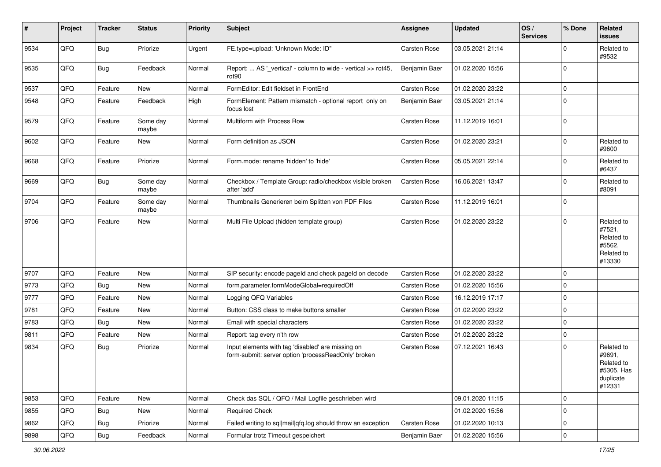| #    | Project | <b>Tracker</b> | <b>Status</b>     | <b>Priority</b> | Subject                                                                                                  | <b>Assignee</b>     | <b>Updated</b>   | OS/<br><b>Services</b> | % Done      | Related<br>issues                                                       |
|------|---------|----------------|-------------------|-----------------|----------------------------------------------------------------------------------------------------------|---------------------|------------------|------------------------|-------------|-------------------------------------------------------------------------|
| 9534 | QFQ     | Bug            | Priorize          | Urgent          | FE.type=upload: 'Unknown Mode: ID"                                                                       | Carsten Rose        | 03.05.2021 21:14 |                        | 0           | Related to<br>#9532                                                     |
| 9535 | QFQ     | Bug            | Feedback          | Normal          | Report:  AS '_vertical' - column to wide - vertical >> rot45,<br>rot <sub>90</sub>                       | Benjamin Baer       | 01.02.2020 15:56 |                        | $\Omega$    |                                                                         |
| 9537 | QFQ     | Feature        | <b>New</b>        | Normal          | FormEditor: Edit fieldset in FrontEnd                                                                    | <b>Carsten Rose</b> | 01.02.2020 23:22 |                        | 0           |                                                                         |
| 9548 | QFQ     | Feature        | Feedback          | High            | FormElement: Pattern mismatch - optional report only on<br>focus lost                                    | Benjamin Baer       | 03.05.2021 21:14 |                        | $\Omega$    |                                                                         |
| 9579 | QFQ     | Feature        | Some day<br>maybe | Normal          | Multiform with Process Row                                                                               | Carsten Rose        | 11.12.2019 16:01 |                        | $\Omega$    |                                                                         |
| 9602 | QFQ     | Feature        | <b>New</b>        | Normal          | Form definition as JSON                                                                                  | Carsten Rose        | 01.02.2020 23:21 |                        | $\Omega$    | Related to<br>#9600                                                     |
| 9668 | QFQ     | Feature        | Priorize          | Normal          | Form.mode: rename 'hidden' to 'hide'                                                                     | <b>Carsten Rose</b> | 05.05.2021 22:14 |                        | 0           | Related to<br>#6437                                                     |
| 9669 | QFQ     | Bug            | Some day<br>maybe | Normal          | Checkbox / Template Group: radio/checkbox visible broken<br>after 'add'                                  | <b>Carsten Rose</b> | 16.06.2021 13:47 |                        | $\Omega$    | Related to<br>#8091                                                     |
| 9704 | QFQ     | Feature        | Some dav<br>maybe | Normal          | Thumbnails Generieren beim Splitten von PDF Files                                                        | Carsten Rose        | 11.12.2019 16:01 |                        | $\Omega$    |                                                                         |
| 9706 | QFQ     | Feature        | <b>New</b>        | Normal          | Multi File Upload (hidden template group)                                                                | <b>Carsten Rose</b> | 01.02.2020 23:22 |                        | $\Omega$    | Related to<br>#7521,<br>Related to<br>#5562,<br>Related to<br>#13330    |
| 9707 | QFQ     | Feature        | <b>New</b>        | Normal          | SIP security: encode pageld and check pageld on decode                                                   | <b>Carsten Rose</b> | 01.02.2020 23:22 |                        | $\Omega$    |                                                                         |
| 9773 | QFQ     | Bug            | <b>New</b>        | Normal          | form.parameter.formModeGlobal=requiredOff                                                                | Carsten Rose        | 01.02.2020 15:56 |                        | $\Omega$    |                                                                         |
| 9777 | QFQ     | Feature        | <b>New</b>        | Normal          | Logging QFQ Variables                                                                                    | <b>Carsten Rose</b> | 16.12.2019 17:17 |                        | $\Omega$    |                                                                         |
| 9781 | QFQ     | Feature        | <b>New</b>        | Normal          | Button: CSS class to make buttons smaller                                                                | Carsten Rose        | 01.02.2020 23:22 |                        | $\Omega$    |                                                                         |
| 9783 | QFQ     | Bug            | <b>New</b>        | Normal          | Email with special characters                                                                            | <b>Carsten Rose</b> | 01.02.2020 23:22 |                        | $\mathbf 0$ |                                                                         |
| 9811 | QFQ     | Feature        | <b>New</b>        | Normal          | Report: tag every n'th row                                                                               | <b>Carsten Rose</b> | 01.02.2020 23:22 |                        | $\mathbf 0$ |                                                                         |
| 9834 | QFQ     | Bug            | Priorize          | Normal          | Input elements with tag 'disabled' are missing on<br>form-submit: server option 'processReadOnly' broken | <b>Carsten Rose</b> | 07.12.2021 16:43 |                        | $\Omega$    | Related to<br>#9691,<br>Related to<br>#5305, Has<br>duplicate<br>#12331 |
| 9853 | QFQ     | Feature        | New               | Normal          | Check das SQL / QFQ / Mail Logfile geschrieben wird                                                      |                     | 09.01.2020 11:15 |                        | $\mathbf 0$ |                                                                         |
| 9855 | QFQ     | Bug            | New               | Normal          | <b>Required Check</b>                                                                                    |                     | 01.02.2020 15:56 |                        | $\mathbf 0$ |                                                                         |
| 9862 | QFQ     | <b>Bug</b>     | Priorize          | Normal          | Failed writing to sql mail qfq.log should throw an exception                                             | Carsten Rose        | 01.02.2020 10:13 |                        | 0           |                                                                         |
| 9898 | QFQ     | Bug            | Feedback          | Normal          | Formular trotz Timeout gespeichert                                                                       | Benjamin Baer       | 01.02.2020 15:56 |                        | $\mathbf 0$ |                                                                         |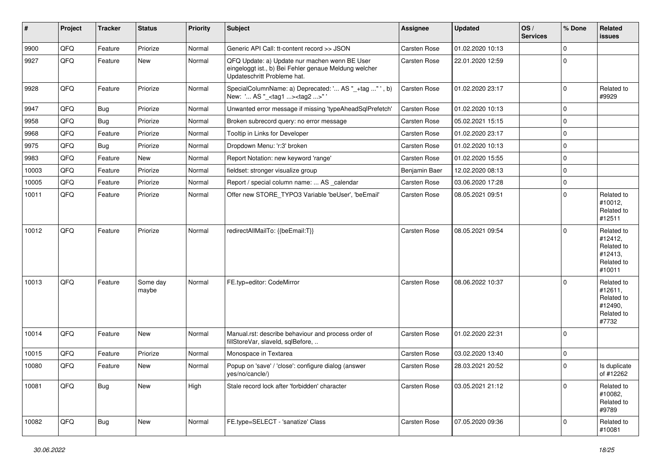| #     | Project | <b>Tracker</b> | <b>Status</b>     | <b>Priority</b> | Subject                                                                                                                               | Assignee            | <b>Updated</b>   | OS/<br><b>Services</b> | % Done      | Related<br>issues                                                      |
|-------|---------|----------------|-------------------|-----------------|---------------------------------------------------------------------------------------------------------------------------------------|---------------------|------------------|------------------------|-------------|------------------------------------------------------------------------|
| 9900  | QFQ     | Feature        | Priorize          | Normal          | Generic API Call: tt-content record >> JSON                                                                                           | Carsten Rose        | 01.02.2020 10:13 |                        | $\mathbf 0$ |                                                                        |
| 9927  | QFQ     | Feature        | New               | Normal          | QFQ Update: a) Update nur machen wenn BE User<br>eingeloggt ist., b) Bei Fehler genaue Meldung welcher<br>Updateschritt Probleme hat. | <b>Carsten Rose</b> | 22.01.2020 12:59 |                        | $\mathbf 0$ |                                                                        |
| 9928  | QFQ     | Feature        | Priorize          | Normal          | SpecialColumnName: a) Deprecated: ' AS "_+tag " ', b)<br>New: ' AS "_ <tag1><tag2>"</tag2></tag1>                                     | <b>Carsten Rose</b> | 01.02.2020 23:17 |                        | $\mathbf 0$ | Related to<br>#9929                                                    |
| 9947  | QFQ     | Bug            | Priorize          | Normal          | Unwanted error message if missing 'typeAheadSqlPrefetch'                                                                              | Carsten Rose        | 01.02.2020 10:13 |                        | $\mathbf 0$ |                                                                        |
| 9958  | QFQ     | Bug            | Priorize          | Normal          | Broken subrecord query: no error message                                                                                              | Carsten Rose        | 05.02.2021 15:15 |                        | $\mathbf 0$ |                                                                        |
| 9968  | QFQ     | Feature        | Priorize          | Normal          | Tooltip in Links for Developer                                                                                                        | <b>Carsten Rose</b> | 01.02.2020 23:17 |                        | $\mathbf 0$ |                                                                        |
| 9975  | QFQ     | Bug            | Priorize          | Normal          | Dropdown Menu: 'r:3' broken                                                                                                           | Carsten Rose        | 01.02.2020 10:13 |                        | $\mathbf 0$ |                                                                        |
| 9983  | QFQ     | Feature        | New               | Normal          | Report Notation: new keyword 'range'                                                                                                  | Carsten Rose        | 01.02.2020 15:55 |                        | $\mathbf 0$ |                                                                        |
| 10003 | QFQ     | Feature        | Priorize          | Normal          | fieldset: stronger visualize group                                                                                                    | Benjamin Baer       | 12.02.2020 08:13 |                        | $\mathbf 0$ |                                                                        |
| 10005 | QFQ     | Feature        | Priorize          | Normal          | Report / special column name:  AS calendar                                                                                            | Carsten Rose        | 03.06.2020 17:28 |                        | $\mathbf 0$ |                                                                        |
| 10011 | QFQ     | Feature        | Priorize          | Normal          | Offer new STORE_TYPO3 Variable 'beUser', 'beEmail'                                                                                    | <b>Carsten Rose</b> | 08.05.2021 09:51 |                        | $\mathbf 0$ | Related to<br>#10012,<br>Related to<br>#12511                          |
| 10012 | QFQ     | Feature        | Priorize          | Normal          | redirectAllMailTo: {{beEmail:T}}                                                                                                      | <b>Carsten Rose</b> | 08.05.2021 09:54 |                        | 0           | Related to<br>#12412,<br>Related to<br>#12413,<br>Related to<br>#10011 |
| 10013 | QFQ     | Feature        | Some day<br>maybe | Normal          | FE.typ=editor: CodeMirror                                                                                                             | Carsten Rose        | 08.06.2022 10:37 |                        | $\Omega$    | Related to<br>#12611,<br>Related to<br>#12490,<br>Related to<br>#7732  |
| 10014 | QFQ     | Feature        | New               | Normal          | Manual.rst: describe behaviour and process order of<br>fillStoreVar, slaveId, sqlBefore,                                              | Carsten Rose        | 01.02.2020 22:31 |                        | 0           |                                                                        |
| 10015 | QFQ     | Feature        | Priorize          | Normal          | Monospace in Textarea                                                                                                                 | Carsten Rose        | 03.02.2020 13:40 |                        | $\mathbf 0$ |                                                                        |
| 10080 | QFQ     | Feature        | New               | Normal          | Popup on 'save' / 'close': configure dialog (answer<br>yes/no/cancle/)                                                                | Carsten Rose        | 28.03.2021 20:52 |                        | $\mathbf 0$ | Is duplicate<br>of #12262                                              |
| 10081 | QFQ     | Bug            | New               | High            | Stale record lock after 'forbidden' character                                                                                         | Carsten Rose        | 03.05.2021 21:12 |                        | $\Omega$    | Related to<br>#10082,<br>Related to<br>#9789                           |
| 10082 | QFQ     | Bug            | New               | Normal          | FE.type=SELECT - 'sanatize' Class                                                                                                     | Carsten Rose        | 07.05.2020 09:36 |                        | $\Omega$    | Related to<br>#10081                                                   |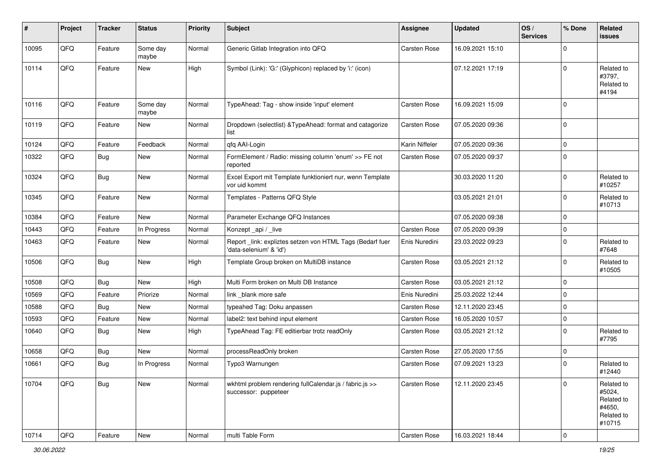| $\sharp$ | Project | <b>Tracker</b> | <b>Status</b>     | <b>Priority</b> | <b>Subject</b>                                                                      | <b>Assignee</b>     | Updated          | OS/<br><b>Services</b> | % Done      | Related<br><b>issues</b>                                             |
|----------|---------|----------------|-------------------|-----------------|-------------------------------------------------------------------------------------|---------------------|------------------|------------------------|-------------|----------------------------------------------------------------------|
| 10095    | QFQ     | Feature        | Some day<br>maybe | Normal          | Generic Gitlab Integration into QFQ                                                 | Carsten Rose        | 16.09.2021 15:10 |                        | $\Omega$    |                                                                      |
| 10114    | QFQ     | Feature        | New               | High            | Symbol (Link): 'G:' (Glyphicon) replaced by 'i:' (icon)                             |                     | 07.12.2021 17:19 |                        | $\mathbf 0$ | Related to<br>#3797,<br>Related to<br>#4194                          |
| 10116    | QFQ     | Feature        | Some day<br>maybe | Normal          | TypeAhead: Tag - show inside 'input' element                                        | <b>Carsten Rose</b> | 16.09.2021 15:09 |                        | $\Omega$    |                                                                      |
| 10119    | QFQ     | Feature        | <b>New</b>        | Normal          | Dropdown (selectlist) & TypeAhead: format and catagorize<br>list                    | <b>Carsten Rose</b> | 07.05.2020 09:36 |                        | 0           |                                                                      |
| 10124    | QFQ     | Feature        | Feedback          | Normal          | qfq AAI-Login                                                                       | Karin Niffeler      | 07.05.2020 09:36 |                        | $\Omega$    |                                                                      |
| 10322    | QFQ     | Bug            | New               | Normal          | FormElement / Radio: missing column 'enum' >> FE not<br>reported                    | <b>Carsten Rose</b> | 07.05.2020 09:37 |                        | $\Omega$    |                                                                      |
| 10324    | QFQ     | Bug            | <b>New</b>        | Normal          | Excel Export mit Template funktioniert nur, wenn Template<br>vor uid kommt          |                     | 30.03.2020 11:20 |                        | $\Omega$    | Related to<br>#10257                                                 |
| 10345    | QFQ     | Feature        | New               | Normal          | Templates - Patterns QFQ Style                                                      |                     | 03.05.2021 21:01 |                        | $\Omega$    | Related to<br>#10713                                                 |
| 10384    | QFQ     | Feature        | <b>New</b>        | Normal          | Parameter Exchange QFQ Instances                                                    |                     | 07.05.2020 09:38 |                        | $\mathbf 0$ |                                                                      |
| 10443    | QFQ     | Feature        | In Progress       | Normal          | Konzept _api / _live                                                                | Carsten Rose        | 07.05.2020 09:39 |                        | 0           |                                                                      |
| 10463    | QFQ     | Feature        | <b>New</b>        | Normal          | Report_link: expliztes setzen von HTML Tags (Bedarf fuer<br>'data-selenium' & 'id') | Enis Nuredini       | 23.03.2022 09:23 |                        | $\Omega$    | Related to<br>#7648                                                  |
| 10506    | QFQ     | Bug            | <b>New</b>        | High            | Template Group broken on MultiDB instance                                           | <b>Carsten Rose</b> | 03.05.2021 21:12 |                        | $\Omega$    | Related to<br>#10505                                                 |
| 10508    | QFQ     | Bug            | New               | High            | Multi Form broken on Multi DB Instance                                              | <b>Carsten Rose</b> | 03.05.2021 21:12 |                        | $\mathbf 0$ |                                                                      |
| 10569    | QFQ     | Feature        | Priorize          | Normal          | link blank more safe                                                                | Enis Nuredini       | 25.03.2022 12:44 |                        | $\mathbf 0$ |                                                                      |
| 10588    | QFQ     | Bug            | New               | Normal          | typeahed Tag: Doku anpassen                                                         | <b>Carsten Rose</b> | 12.11.2020 23:45 |                        | $\mathbf 0$ |                                                                      |
| 10593    | QFQ     | Feature        | New               | Normal          | label2: text behind input element                                                   | Carsten Rose        | 16.05.2020 10:57 |                        | $\mathbf 0$ |                                                                      |
| 10640    | QFQ     | Bug            | New               | High            | TypeAhead Tag: FE editierbar trotz readOnly                                         | <b>Carsten Rose</b> | 03.05.2021 21:12 |                        | $\mathbf 0$ | Related to<br>#7795                                                  |
| 10658    | QFQ     | <b>Bug</b>     | New               | Normal          | processReadOnly broken                                                              | <b>Carsten Rose</b> | 27.05.2020 17:55 |                        | $\mathbf 0$ |                                                                      |
| 10661    | QFQ     | <b>Bug</b>     | In Progress       | Normal          | Typo3 Warnungen                                                                     | <b>Carsten Rose</b> | 07.09.2021 13:23 |                        | $\Omega$    | Related to<br>#12440                                                 |
| 10704    | QFQ     | <b>Bug</b>     | New               | Normal          | wkhtml problem rendering fullCalendar.js / fabric.js >><br>successor: puppeteer     | <b>Carsten Rose</b> | 12.11.2020 23:45 |                        | $\mathbf 0$ | Related to<br>#5024,<br>Related to<br>#4650,<br>Related to<br>#10715 |
| 10714    | QFG     | Feature        | New               | Normal          | multi Table Form                                                                    | Carsten Rose        | 16.03.2021 18:44 |                        | 0           |                                                                      |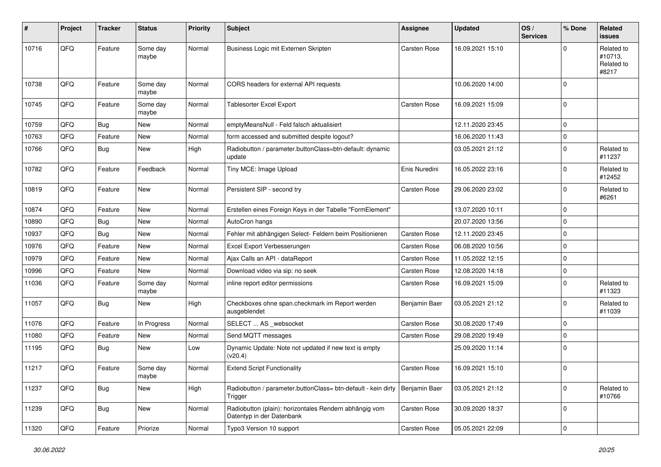| #     | Project | <b>Tracker</b> | <b>Status</b>     | <b>Priority</b> | <b>Subject</b>                                                                      | <b>Assignee</b>     | <b>Updated</b>   | OS/<br><b>Services</b> | % Done      | Related<br><b>issues</b>                     |
|-------|---------|----------------|-------------------|-----------------|-------------------------------------------------------------------------------------|---------------------|------------------|------------------------|-------------|----------------------------------------------|
| 10716 | QFQ     | Feature        | Some day<br>maybe | Normal          | Business Logic mit Externen Skripten                                                | Carsten Rose        | 16.09.2021 15:10 |                        | 0           | Related to<br>#10713,<br>Related to<br>#8217 |
| 10738 | QFQ     | Feature        | Some day<br>maybe | Normal          | CORS headers for external API requests                                              |                     | 10.06.2020 14:00 |                        | $\Omega$    |                                              |
| 10745 | QFQ     | Feature        | Some day<br>maybe | Normal          | Tablesorter Excel Export                                                            | <b>Carsten Rose</b> | 16.09.2021 15:09 |                        | $\Omega$    |                                              |
| 10759 | QFQ     | Bug            | <b>New</b>        | Normal          | emptyMeansNull - Feld falsch aktualisiert                                           |                     | 12.11.2020 23:45 |                        | $\mathbf 0$ |                                              |
| 10763 | QFQ     | Feature        | New               | Normal          | form accessed and submitted despite logout?                                         |                     | 16.06.2020 11:43 |                        | $\Omega$    |                                              |
| 10766 | QFQ     | Bug            | New               | High            | Radiobutton / parameter.buttonClass=btn-default: dynamic<br>update                  |                     | 03.05.2021 21:12 |                        | $\Omega$    | Related to<br>#11237                         |
| 10782 | QFQ     | Feature        | Feedback          | Normal          | Tiny MCE: Image Upload                                                              | Enis Nuredini       | 16.05.2022 23:16 |                        | $\Omega$    | Related to<br>#12452                         |
| 10819 | QFQ     | Feature        | New               | Normal          | Persistent SIP - second try                                                         | <b>Carsten Rose</b> | 29.06.2020 23:02 |                        | $\Omega$    | Related to<br>#6261                          |
| 10874 | QFQ     | Feature        | <b>New</b>        | Normal          | Erstellen eines Foreign Keys in der Tabelle "FormElement"                           |                     | 13.07.2020 10:11 |                        | $\mathbf 0$ |                                              |
| 10890 | QFQ     | Bug            | <b>New</b>        | Normal          | AutoCron hangs                                                                      |                     | 20.07.2020 13:56 |                        | $\mathbf 0$ |                                              |
| 10937 | QFQ     | Bug            | New               | Normal          | Fehler mit abhängigen Select- Feldern beim Positionieren                            | <b>Carsten Rose</b> | 12.11.2020 23:45 |                        | $\Omega$    |                                              |
| 10976 | QFQ     | Feature        | <b>New</b>        | Normal          | Excel Export Verbesserungen                                                         | Carsten Rose        | 06.08.2020 10:56 |                        | $\mathbf 0$ |                                              |
| 10979 | QFQ     | Feature        | <b>New</b>        | Normal          | Ajax Calls an API - dataReport                                                      | <b>Carsten Rose</b> | 11.05.2022 12:15 |                        | $\Omega$    |                                              |
| 10996 | QFQ     | Feature        | New               | Normal          | Download video via sip: no seek                                                     | Carsten Rose        | 12.08.2020 14:18 |                        | $\Omega$    |                                              |
| 11036 | QFQ     | Feature        | Some day<br>maybe | Normal          | inline report editor permissions                                                    | <b>Carsten Rose</b> | 16.09.2021 15:09 |                        | $\Omega$    | Related to<br>#11323                         |
| 11057 | QFQ     | Bug            | <b>New</b>        | High            | Checkboxes ohne span.checkmark im Report werden<br>ausgeblendet                     | Benjamin Baer       | 03.05.2021 21:12 |                        | $\Omega$    | Related to<br>#11039                         |
| 11076 | QFQ     | Feature        | In Progress       | Normal          | SELECT  AS _websocket                                                               | <b>Carsten Rose</b> | 30.08.2020 17:49 |                        | $\Omega$    |                                              |
| 11080 | QFQ     | Feature        | <b>New</b>        | Normal          | Send MQTT messages                                                                  | Carsten Rose        | 29.08.2020 19:49 |                        | $\Omega$    |                                              |
| 11195 | QFQ     | Bug            | <b>New</b>        | Low             | Dynamic Update: Note not updated if new text is empty<br>(v20.4)                    |                     | 25.09.2020 11:14 |                        | $\Omega$    |                                              |
| 11217 | QFQ     | Feature        | Some day<br>maybe | Normal          | <b>Extend Script Functionality</b>                                                  | <b>Carsten Rose</b> | 16.09.2021 15:10 |                        | $\mathbf 0$ |                                              |
| 11237 | QFQ     | <b>Bug</b>     | New               | High            | Radiobutton / parameter.buttonClass= btn-default - kein dirty<br>Trigger            | Benjamin Baer       | 03.05.2021 21:12 |                        | $\mathbf 0$ | Related to<br>#10766                         |
| 11239 | QFQ     | Bug            | New               | Normal          | Radiobutton (plain): horizontales Rendern abhängig vom<br>Datentyp in der Datenbank | Carsten Rose        | 30.09.2020 18:37 |                        | $\Omega$    |                                              |
| 11320 | QFG     | Feature        | Priorize          | Normal          | Typo3 Version 10 support                                                            | Carsten Rose        | 05.05.2021 22:09 |                        | $\mathbf 0$ |                                              |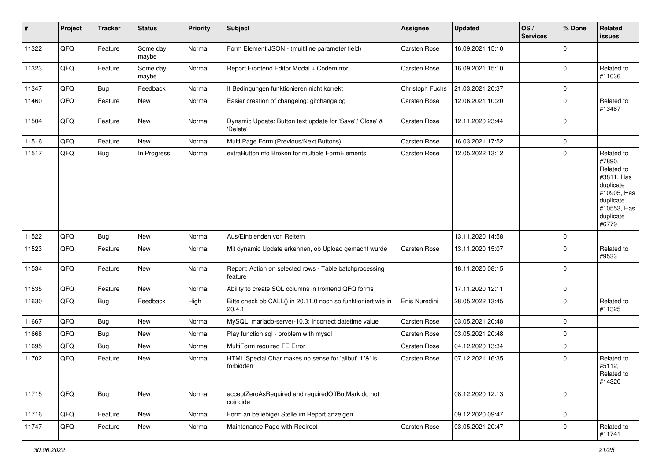| #     | Project | <b>Tracker</b> | <b>Status</b>     | <b>Priority</b> | <b>Subject</b>                                                         | <b>Assignee</b>     | <b>Updated</b>   | OS/<br><b>Services</b> | % Done         | Related<br>issues                                                                                                              |
|-------|---------|----------------|-------------------|-----------------|------------------------------------------------------------------------|---------------------|------------------|------------------------|----------------|--------------------------------------------------------------------------------------------------------------------------------|
| 11322 | QFQ     | Feature        | Some day<br>maybe | Normal          | Form Element JSON - (multiline parameter field)                        | Carsten Rose        | 16.09.2021 15:10 |                        | $\overline{0}$ |                                                                                                                                |
| 11323 | QFQ     | Feature        | Some day<br>maybe | Normal          | Report Frontend Editor Modal + Codemirror                              | <b>Carsten Rose</b> | 16.09.2021 15:10 |                        | $\Omega$       | Related to<br>#11036                                                                                                           |
| 11347 | QFQ     | Bug            | Feedback          | Normal          | If Bedingungen funktionieren nicht korrekt                             | Christoph Fuchs     | 21.03.2021 20:37 |                        | 0              |                                                                                                                                |
| 11460 | QFQ     | Feature        | New               | Normal          | Easier creation of changelog: gitchangelog                             | Carsten Rose        | 12.06.2021 10:20 |                        | $\mathbf 0$    | Related to<br>#13467                                                                                                           |
| 11504 | QFQ     | Feature        | <b>New</b>        | Normal          | Dynamic Update: Button text update for 'Save',' Close' &<br>'Delete'   | Carsten Rose        | 12.11.2020 23:44 |                        | $\Omega$       |                                                                                                                                |
| 11516 | QFQ     | Feature        | <b>New</b>        | Normal          | Multi Page Form (Previous/Next Buttons)                                | Carsten Rose        | 16.03.2021 17:52 |                        | 0              |                                                                                                                                |
| 11517 | QFQ     | Bug            | In Progress       | Normal          | extraButtonInfo Broken for multiple FormElements                       | <b>Carsten Rose</b> | 12.05.2022 13:12 |                        | $\mathbf 0$    | Related to<br>#7890,<br>Related to<br>#3811, Has<br>duplicate<br>#10905, Has<br>duplicate<br>#10553, Has<br>duplicate<br>#6779 |
| 11522 | QFQ     | Bug            | <b>New</b>        | Normal          | Aus/Einblenden von Reitern                                             |                     | 13.11.2020 14:58 |                        | $\mathbf 0$    |                                                                                                                                |
| 11523 | QFQ     | Feature        | <b>New</b>        | Normal          | Mit dynamic Update erkennen, ob Upload gemacht wurde                   | <b>Carsten Rose</b> | 13.11.2020 15:07 |                        | $\Omega$       | Related to<br>#9533                                                                                                            |
| 11534 | QFQ     | Feature        | New               | Normal          | Report: Action on selected rows - Table batchprocessing<br>feature     |                     | 18.11.2020 08:15 |                        | $\Omega$       |                                                                                                                                |
| 11535 | QFQ     | Feature        | <b>New</b>        | Normal          | Ability to create SQL columns in frontend QFQ forms                    |                     | 17.11.2020 12:11 |                        | $\mathbf 0$    |                                                                                                                                |
| 11630 | QFQ     | Bug            | Feedback          | High            | Bitte check ob CALL() in 20.11.0 noch so funktioniert wie in<br>20.4.1 | Enis Nuredini       | 28.05.2022 13:45 |                        | $\Omega$       | Related to<br>#11325                                                                                                           |
| 11667 | QFQ     | Bug            | <b>New</b>        | Normal          | MySQL mariadb-server-10.3: Incorrect datetime value                    | <b>Carsten Rose</b> | 03.05.2021 20:48 |                        | $\Omega$       |                                                                                                                                |
| 11668 | QFQ     | Bug            | New               | Normal          | Play function.sql - problem with mysql                                 | <b>Carsten Rose</b> | 03.05.2021 20:48 |                        | $\mathbf 0$    |                                                                                                                                |
| 11695 | QFQ     | <b>Bug</b>     | <b>New</b>        | Normal          | MultiForm required FE Error                                            | Carsten Rose        | 04.12.2020 13:34 |                        | $\Omega$       |                                                                                                                                |
| 11702 | QFQ     | Feature        | New               | Normal          | HTML Special Char makes no sense for 'allbut' if '&' is<br>forbidden   | <b>Carsten Rose</b> | 07.12.2021 16:35 |                        | $\Omega$       | Related to<br>#5112,<br>Related to<br>#14320                                                                                   |
| 11715 | QFG     | <b>Bug</b>     | New               | Normal          | acceptZeroAsRequired and requiredOffButMark do not<br>coincide         |                     | 08.12.2020 12:13 |                        | $\mathbf 0$    |                                                                                                                                |
| 11716 | QFQ     | Feature        | New               | Normal          | Form an beliebiger Stelle im Report anzeigen                           |                     | 09.12.2020 09:47 |                        | 0              |                                                                                                                                |
| 11747 | QFQ     | Feature        | New               | Normal          | Maintenance Page with Redirect                                         | Carsten Rose        | 03.05.2021 20:47 |                        | $\mathbf 0$    | Related to<br>#11741                                                                                                           |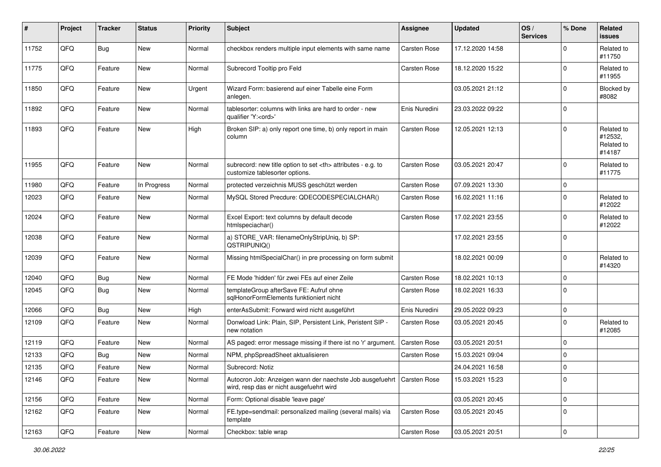| #     | Project | <b>Tracker</b> | <b>Status</b> | <b>Priority</b> | <b>Subject</b>                                                                                                      | <b>Assignee</b>                                        | <b>Updated</b>      | OS/<br><b>Services</b> | % Done      | Related<br><b>issues</b>                      |                      |
|-------|---------|----------------|---------------|-----------------|---------------------------------------------------------------------------------------------------------------------|--------------------------------------------------------|---------------------|------------------------|-------------|-----------------------------------------------|----------------------|
| 11752 | QFQ     | Bug            | New           | Normal          | checkbox renders multiple input elements with same name                                                             | <b>Carsten Rose</b>                                    | 17.12.2020 14:58    |                        | $\Omega$    | Related to<br>#11750                          |                      |
| 11775 | QFQ     | Feature        | <b>New</b>    | Normal          | Subrecord Tooltip pro Feld                                                                                          | <b>Carsten Rose</b>                                    | 18.12.2020 15:22    |                        | $\Omega$    | Related to<br>#11955                          |                      |
| 11850 | QFQ     | Feature        | <b>New</b>    | Urgent          | Wizard Form: basierend auf einer Tabelle eine Form<br>anlegen.                                                      |                                                        | 03.05.2021 21:12    |                        | $\Omega$    | Blocked by<br>#8082                           |                      |
| 11892 | QFQ     | Feature        | New           | Normal          | tablesorter: columns with links are hard to order - new<br>qualifier 'Y: <ord>'</ord>                               | Enis Nuredini                                          | 23.03.2022 09:22    |                        | $\mathbf 0$ |                                               |                      |
| 11893 | QFQ     | Feature        | New           | High            | Broken SIP: a) only report one time, b) only report in main<br>column                                               | <b>Carsten Rose</b>                                    | 12.05.2021 12:13    |                        | $\Omega$    | Related to<br>#12532,<br>Related to<br>#14187 |                      |
| 11955 | QFQ     | Feature        | <b>New</b>    | Normal          | subrecord: new title option to set <th> attributes - e.g. to<br/>customize tablesorter options.</th>                | attributes - e.g. to<br>customize tablesorter options. | <b>Carsten Rose</b> | 03.05.2021 20:47       |             | $\mathbf 0$                                   | Related to<br>#11775 |
| 11980 | QFQ     | Feature        | In Progress   | Normal          | protected verzeichnis MUSS geschützt werden                                                                         | <b>Carsten Rose</b>                                    | 07.09.2021 13:30    |                        | $\mathbf 0$ |                                               |                      |
| 12023 | QFQ     | Feature        | New           | Normal          | MySQL Stored Precdure: QDECODESPECIALCHAR()                                                                         | <b>Carsten Rose</b>                                    | 16.02.2021 11:16    |                        | $\Omega$    | Related to<br>#12022                          |                      |
| 12024 | QFQ     | Feature        | New           | Normal          | Excel Export: text columns by default decode<br>htmlspeciachar()                                                    | <b>Carsten Rose</b>                                    | 17.02.2021 23:55    |                        | $\Omega$    | Related to<br>#12022                          |                      |
| 12038 | QFQ     | Feature        | New           | Normal          | a) STORE_VAR: filenameOnlyStripUniq, b) SP:<br>QSTRIPUNIQ()                                                         |                                                        | 17.02.2021 23:55    |                        | 0           |                                               |                      |
| 12039 | QFQ     | Feature        | <b>New</b>    | Normal          | Missing htmlSpecialChar() in pre processing on form submit                                                          |                                                        | 18.02.2021 00:09    |                        | $\Omega$    | Related to<br>#14320                          |                      |
| 12040 | QFQ     | Bug            | New           | Normal          | FE Mode 'hidden' für zwei FEs auf einer Zeile                                                                       | <b>Carsten Rose</b>                                    | 18.02.2021 10:13    |                        | $\mathbf 0$ |                                               |                      |
| 12045 | QFQ     | Bug            | New           | Normal          | templateGroup afterSave FE: Aufruf ohne<br>sglHonorFormElements funktioniert nicht                                  | Carsten Rose                                           | 18.02.2021 16:33    |                        | $\mathbf 0$ |                                               |                      |
| 12066 | QFQ     | Bug            | New           | High            | enterAsSubmit: Forward wird nicht ausgeführt                                                                        | Enis Nuredini                                          | 29.05.2022 09:23    |                        | $\mathbf 0$ |                                               |                      |
| 12109 | QFQ     | Feature        | <b>New</b>    | Normal          | Donwload Link: Plain, SIP, Persistent Link, Peristent SIP -<br>new notation                                         | Carsten Rose                                           | 03.05.2021 20:45    |                        | $\mathbf 0$ | Related to<br>#12085                          |                      |
| 12119 | QFQ     | Feature        | <b>New</b>    | Normal          | AS paged: error message missing if there ist no 'r' argument.                                                       | Carsten Rose                                           | 03.05.2021 20:51    |                        | $\Omega$    |                                               |                      |
| 12133 | QFQ     | Bug            | <b>New</b>    | Normal          | NPM, phpSpreadSheet aktualisieren                                                                                   | <b>Carsten Rose</b>                                    | 15.03.2021 09:04    |                        | $\mathbf 0$ |                                               |                      |
| 12135 | QFQ     | Feature        | New           | Normal          | Subrecord: Notiz                                                                                                    |                                                        | 24.04.2021 16:58    |                        | $\mathbf 0$ |                                               |                      |
| 12146 | QFQ     | Feature        | New           | Normal          | Autocron Job: Anzeigen wann der naechste Job ausgefuehrt   Carsten Rose<br>wird, resp das er nicht ausgefuehrt wird |                                                        | 15.03.2021 15:23    |                        | 0           |                                               |                      |
| 12156 | QFQ     | Feature        | New           | Normal          | Form: Optional disable 'leave page'                                                                                 |                                                        | 03.05.2021 20:45    |                        | $\mathbf 0$ |                                               |                      |
| 12162 | QFQ     | Feature        | New           | Normal          | FE.type=sendmail: personalized mailing (several mails) via<br>template                                              | Carsten Rose                                           | 03.05.2021 20:45    |                        | 0           |                                               |                      |
| 12163 | QFQ     | Feature        | New           | Normal          | Checkbox: table wrap                                                                                                | Carsten Rose                                           | 03.05.2021 20:51    |                        | $\mathbf 0$ |                                               |                      |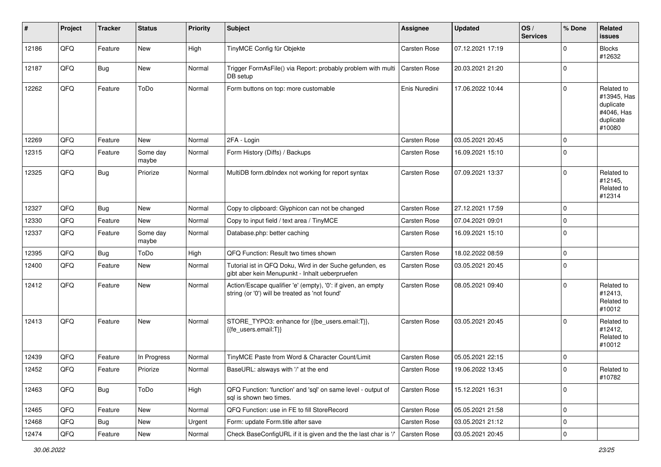| $\sharp$ | Project | <b>Tracker</b> | <b>Status</b>     | <b>Priority</b> | <b>Subject</b>                                                                                                 | <b>Assignee</b>     | <b>Updated</b>   | OS/<br><b>Services</b> | % Done      | Related<br><b>issues</b>                                                    |
|----------|---------|----------------|-------------------|-----------------|----------------------------------------------------------------------------------------------------------------|---------------------|------------------|------------------------|-------------|-----------------------------------------------------------------------------|
| 12186    | QFQ     | Feature        | New               | High            | TinyMCE Config für Objekte                                                                                     | Carsten Rose        | 07.12.2021 17:19 |                        | $\Omega$    | <b>Blocks</b><br>#12632                                                     |
| 12187    | QFQ     | Bug            | New               | Normal          | Trigger FormAsFile() via Report: probably problem with multi<br>DB setup                                       | <b>Carsten Rose</b> | 20.03.2021 21:20 |                        | 0           |                                                                             |
| 12262    | QFQ     | Feature        | ToDo              | Normal          | Form buttons on top: more customable                                                                           | Enis Nuredini       | 17.06.2022 10:44 |                        | $\Omega$    | Related to<br>#13945, Has<br>duplicate<br>#4046, Has<br>duplicate<br>#10080 |
| 12269    | QFQ     | Feature        | New               | Normal          | 2FA - Login                                                                                                    | Carsten Rose        | 03.05.2021 20:45 |                        | $\Omega$    |                                                                             |
| 12315    | QFQ     | Feature        | Some day<br>maybe | Normal          | Form History (Diffs) / Backups                                                                                 | <b>Carsten Rose</b> | 16.09.2021 15:10 |                        | $\mathbf 0$ |                                                                             |
| 12325    | QFQ     | Bug            | Priorize          | Normal          | MultiDB form.dblndex not working for report syntax                                                             | <b>Carsten Rose</b> | 07.09.2021 13:37 |                        | $\Omega$    | Related to<br>#12145,<br>Related to<br>#12314                               |
| 12327    | QFQ     | Bug            | <b>New</b>        | Normal          | Copy to clipboard: Glyphicon can not be changed                                                                | <b>Carsten Rose</b> | 27.12.2021 17:59 |                        | $\mathbf 0$ |                                                                             |
| 12330    | QFQ     | Feature        | New               | Normal          | Copy to input field / text area / TinyMCE                                                                      | <b>Carsten Rose</b> | 07.04.2021 09:01 |                        | $\mathbf 0$ |                                                                             |
| 12337    | QFQ     | Feature        | Some day<br>maybe | Normal          | Database.php: better caching                                                                                   | <b>Carsten Rose</b> | 16.09.2021 15:10 |                        | $\Omega$    |                                                                             |
| 12395    | QFQ     | Bug            | ToDo              | High            | QFQ Function: Result two times shown                                                                           | <b>Carsten Rose</b> | 18.02.2022 08:59 |                        | $\Omega$    |                                                                             |
| 12400    | QFQ     | Feature        | <b>New</b>        | Normal          | Tutorial ist in QFQ Doku, Wird in der Suche gefunden, es<br>gibt aber kein Menupunkt - Inhalt ueberpruefen     | <b>Carsten Rose</b> | 03.05.2021 20:45 |                        | 0           |                                                                             |
| 12412    | QFQ     | Feature        | New               | Normal          | Action/Escape qualifier 'e' (empty), '0': if given, an empty<br>string (or '0') will be treated as 'not found' | <b>Carsten Rose</b> | 08.05.2021 09:40 |                        | $\Omega$    | Related to<br>#12413,<br>Related to<br>#10012                               |
| 12413    | QFQ     | Feature        | New               | Normal          | STORE_TYPO3: enhance for {{be_users.email:T}},<br>{{fe users.email:T}}                                         | <b>Carsten Rose</b> | 03.05.2021 20:45 |                        | $\Omega$    | Related to<br>#12412,<br>Related to<br>#10012                               |
| 12439    | QFQ     | Feature        | In Progress       | Normal          | TinyMCE Paste from Word & Character Count/Limit                                                                | <b>Carsten Rose</b> | 05.05.2021 22:15 |                        | $\mathbf 0$ |                                                                             |
| 12452    | QFQ     | Feature        | Priorize          | Normal          | BaseURL: alsways with '/' at the end                                                                           | Carsten Rose        | 19.06.2022 13:45 |                        | $\Omega$    | Related to<br>#10782                                                        |
| 12463    | QFQ     | <b>Bug</b>     | ToDo              | High            | QFQ Function: 'function' and 'sql' on same level - output of<br>sql is shown two times.                        | Carsten Rose        | 15.12.2021 16:31 |                        | $\mathbf 0$ |                                                                             |
| 12465    | QFQ     | Feature        | New               | Normal          | QFQ Function: use in FE to fill StoreRecord                                                                    | Carsten Rose        | 05.05.2021 21:58 |                        | $\mathbf 0$ |                                                                             |
| 12468    | QFQ     | <b>Bug</b>     | New               | Urgent          | Form: update Form.title after save                                                                             | Carsten Rose        | 03.05.2021 21:12 |                        | $\mathbf 0$ |                                                                             |
| 12474    | QFQ     | Feature        | New               | Normal          | Check BaseConfigURL if it is given and the the last char is '/'                                                | Carsten Rose        | 03.05.2021 20:45 |                        | $\mathbf 0$ |                                                                             |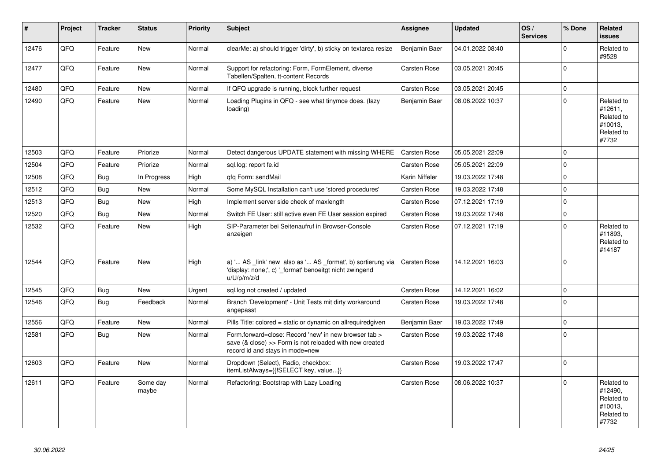| #     | Project | <b>Tracker</b> | <b>Status</b>     | <b>Priority</b> | <b>Subject</b>                                                                                                                                      | Assignee            | <b>Updated</b>   | OS/<br><b>Services</b> | % Done      | Related<br><b>issues</b>                                              |
|-------|---------|----------------|-------------------|-----------------|-----------------------------------------------------------------------------------------------------------------------------------------------------|---------------------|------------------|------------------------|-------------|-----------------------------------------------------------------------|
| 12476 | QFQ     | Feature        | New               | Normal          | clearMe: a) should trigger 'dirty', b) sticky on textarea resize                                                                                    | Benjamin Baer       | 04.01.2022 08:40 |                        | $\Omega$    | Related to<br>#9528                                                   |
| 12477 | QFQ     | Feature        | <b>New</b>        | Normal          | Support for refactoring: Form, FormElement, diverse<br>Tabellen/Spalten, tt-content Records                                                         | Carsten Rose        | 03.05.2021 20:45 |                        | $\Omega$    |                                                                       |
| 12480 | QFQ     | Feature        | New               | Normal          | If QFQ upgrade is running, block further request                                                                                                    | Carsten Rose        | 03.05.2021 20:45 |                        | $\mathbf 0$ |                                                                       |
| 12490 | QFQ     | Feature        | <b>New</b>        | Normal          | Loading Plugins in QFQ - see what tinymce does. (lazy<br>loading)                                                                                   | Benjamin Baer       | 08.06.2022 10:37 |                        | $\Omega$    | Related to<br>#12611,<br>Related to<br>#10013,<br>Related to<br>#7732 |
| 12503 | QFQ     | Feature        | Priorize          | Normal          | Detect dangerous UPDATE statement with missing WHERE                                                                                                | <b>Carsten Rose</b> | 05.05.2021 22:09 |                        | $\Omega$    |                                                                       |
| 12504 | QFQ     | Feature        | Priorize          | Normal          | sql.log: report fe.id                                                                                                                               | Carsten Rose        | 05.05.2021 22:09 |                        | $\mathbf 0$ |                                                                       |
| 12508 | QFQ     | <b>Bug</b>     | In Progress       | High            | gfg Form: sendMail                                                                                                                                  | Karin Niffeler      | 19.03.2022 17:48 |                        | $\Omega$    |                                                                       |
| 12512 | QFQ     | <b>Bug</b>     | <b>New</b>        | Normal          | Some MySQL Installation can't use 'stored procedures'                                                                                               | Carsten Rose        | 19.03.2022 17:48 |                        | $\Omega$    |                                                                       |
| 12513 | QFQ     | <b>Bug</b>     | New               | High            | Implement server side check of maxlength                                                                                                            | Carsten Rose        | 07.12.2021 17:19 |                        | $\Omega$    |                                                                       |
| 12520 | QFQ     | Bug            | New               | Normal          | Switch FE User: still active even FE User session expired                                                                                           | Carsten Rose        | 19.03.2022 17:48 |                        | $\mathbf 0$ |                                                                       |
| 12532 | QFQ     | Feature        | <b>New</b>        | High            | SIP-Parameter bei Seitenaufruf in Browser-Console<br>anzeigen                                                                                       | <b>Carsten Rose</b> | 07.12.2021 17:19 |                        | $\Omega$    | Related to<br>#11893,<br>Related to<br>#14187                         |
| 12544 | QFQ     | Feature        | <b>New</b>        | High            | a) ' AS _link' new also as ' AS _format', b) sortierung via<br>'display: none;', c) ' format' benoeitgt nicht zwingend<br>u/U/p/m/z/d               | <b>Carsten Rose</b> | 14.12.2021 16:03 |                        | $\Omega$    |                                                                       |
| 12545 | QFQ     | Bug            | New               | Urgent          | sql.log not created / updated                                                                                                                       | <b>Carsten Rose</b> | 14.12.2021 16:02 |                        | $\mathbf 0$ |                                                                       |
| 12546 | QFQ     | Bug            | Feedback          | Normal          | Branch 'Development' - Unit Tests mit dirty workaround<br>angepasst                                                                                 | Carsten Rose        | 19.03.2022 17:48 |                        | $\Omega$    |                                                                       |
| 12556 | QFQ     | Feature        | <b>New</b>        | Normal          | Pills Title: colored = static or dynamic on allrequiredgiven                                                                                        | Benjamin Baer       | 19.03.2022 17:49 |                        | $\Omega$    |                                                                       |
| 12581 | QFQ     | Bug            | New               | Normal          | Form.forward=close: Record 'new' in new browser tab ><br>save (& close) >> Form is not reloaded with new created<br>record id and stays in mode=new | <b>Carsten Rose</b> | 19.03.2022 17:48 |                        | $\Omega$    |                                                                       |
| 12603 | QFQ     | Feature        | <b>New</b>        | Normal          | Dropdown (Select), Radio, checkbox:<br>itemListAlways={{!SELECT key, value}}                                                                        | <b>Carsten Rose</b> | 19.03.2022 17:47 |                        | $\Omega$    |                                                                       |
| 12611 | QFQ     | Feature        | Some day<br>maybe | Normal          | Refactoring: Bootstrap with Lazy Loading                                                                                                            | Carsten Rose        | 08.06.2022 10:37 |                        | $\Omega$    | Related to<br>#12490,<br>Related to<br>#10013,<br>Related to<br>#7732 |